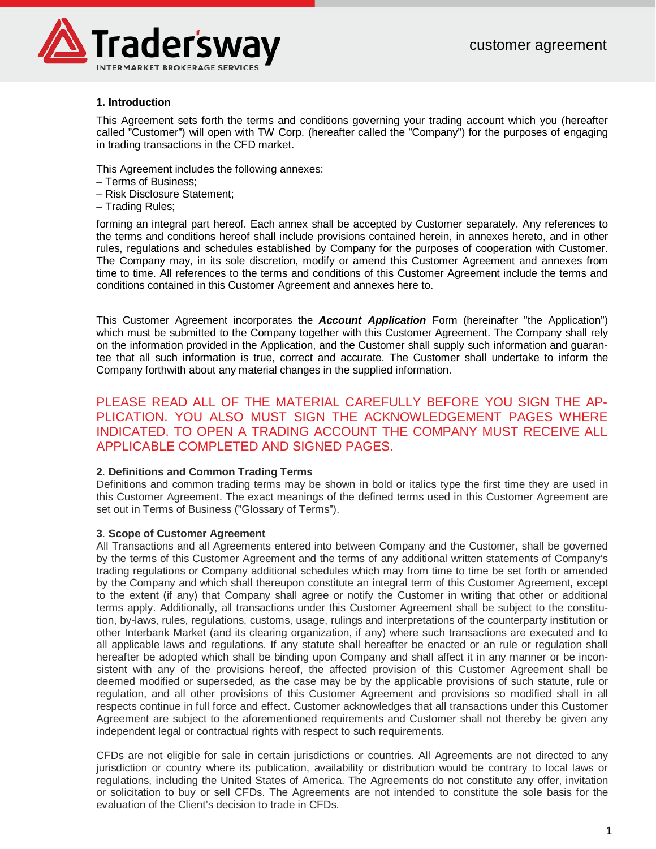

# **1. Introduction**

This Agreement sets forth the terms and conditions governing your trading account which you (hereafter called "Customer") will open with TW Corp. (hereafter called the "Company") for the purposes of engaging in trading transactions in the CFD market.

This Agreement includes the following annexes:

- Terms of Business;
- Risk Disclosure Statement;
- Trading Rules;

forming an integral part hereof. Each annex shall be accepted by Customer separately. Any references to the terms and conditions hereof shall include provisions contained herein, in annexes hereto, and in other rules, regulations and schedules established by Company for the purposes of cooperation with Customer. The Company may, in its sole discretion, modify or amend this Customer Agreement and annexes from time to time. All references to the terms and conditions of this Customer Agreement include the terms and conditions contained in this Customer Agreement and annexes here to.

This Customer Agreement incorporates the *Account Application* Form (hereinafter "the Application") which must be submitted to the Company together with this Customer Agreement. The Company shall rely on the information provided in the Application, and the Customer shall supply such information and guarantee that all such information is true, correct and accurate. The Customer shall undertake to inform the Company forthwith about any material changes in the supplied information.

PLEASE READ ALL OF THE MATERIAL CAREFULLY BEFORE YOU SIGN THE AP-PLICATION. YOU ALSO MUST SIGN THE ACKNOWLEDGEMENT PAGES WHERE INDICATED. TO OPEN A TRADING ACCOUNT THE COMPANY MUST RECEIVE ALL APPLICABLE COMPLETED AND SIGNED PAGES.

# **2**. **Definitions and Common Trading Terms**

Definitions and common trading terms may be shown in bold or italics type the first time they are used in this Customer Agreement. The exact meanings of the defined terms used in this Customer Agreement are set out in Terms of Business ("Glossary of Terms").

# **3**. **Scope of Customer Agreement**

All Transactions and all Agreements entered into between Company and the Customer, shall be governed by the terms of this Customer Agreement and the terms of any additional written statements of Company's trading regulations or Company additional schedules which may from time to time be set forth or amended by the Company and which shall thereupon constitute an integral term of this Customer Agreement, except to the extent (if any) that Company shall agree or notify the Customer in writing that other or additional terms apply. Additionally, all transactions under this Customer Agreement shall be subject to the constitution, by-laws, rules, regulations, customs, usage, rulings and interpretations of the counterparty institution or other Interbank Market (and its clearing organization, if any) where such transactions are executed and to all applicable laws and regulations. If any statute shall hereafter be enacted or an rule or regulation shall hereafter be adopted which shall be binding upon Company and shall affect it in any manner or be inconsistent with any of the provisions hereof, the affected provision of this Customer Agreement shall be deemed modified or superseded, as the case may be by the applicable provisions of such statute, rule or regulation, and all other provisions of this Customer Agreement and provisions so modified shall in all respects continue in full force and effect. Customer acknowledges that all transactions under this Customer Agreement are subject to the aforementioned requirements and Customer shall not thereby be given any independent legal or contractual rights with respect to such requirements.

CFDs are not eligible for sale in certain jurisdictions or countries. All Agreements are not directed to any jurisdiction or country where its publication, availability or distribution would be contrary to local laws or regulations, including the United States of America. The Agreements do not constitute any offer, invitation or solicitation to buy or sell CFDs. The Agreements are not intended to constitute the sole basis for the evaluation of the Client's decision to trade in CFDs.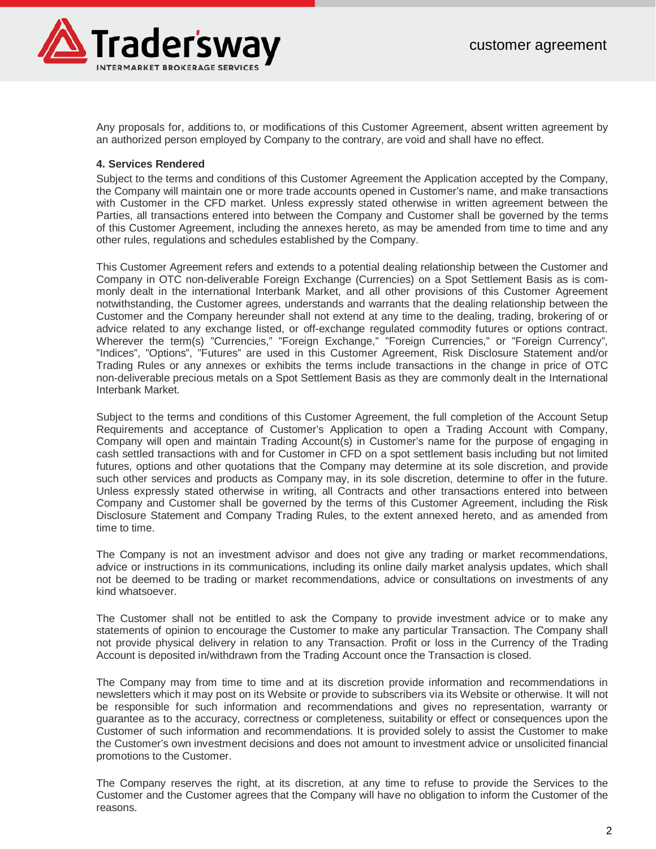

Any proposals for, additions to, or modifications of this Customer Agreement, absent written agreement by an authorized person employed by Company to the contrary, are void and shall have no effect.

#### **4. Services Rendered**

Subject to the terms and conditions of this Customer Agreement the Application accepted by the Company, the Company will maintain one or more trade accounts opened in Customer's name, and make transactions with Customer in the CFD market. Unless expressly stated otherwise in written agreement between the Parties, all transactions entered into between the Company and Customer shall be governed by the terms of this Customer Agreement, including the annexes hereto, as may be amended from time to time and any other rules, regulations and schedules established by the Company.

This Customer Agreement refers and extends to a potential dealing relationship between the Customer and Company in OTC non-deliverable Foreign Exchange (Currencies) on a Spot Settlement Basis as is commonly dealt in the international Interbank Market, and all other provisions of this Customer Agreement notwithstanding, the Customer agrees, understands and warrants that the dealing relationship between the Customer and the Company hereunder shall not extend at any time to the dealing, trading, brokering of or advice related to any exchange listed, or off-exchange regulated commodity futures or options contract. Wherever the term(s) "Currencies," "Foreign Exchange," "Foreign Currencies," or "Foreign Currency", "Indices", "Options", "Futures" are used in this Customer Agreement, Risk Disclosure Statement and/or Trading Rules or any annexes or exhibits the terms include transactions in the change in price of OTC non-deliverable precious metals on a Spot Settlement Basis as they are commonly dealt in the International Interbank Market.

Subject to the terms and conditions of this Customer Agreement, the full completion of the Account Setup Requirements and acceptance of Customer's Application to open a Trading Account with Company, Company will open and maintain Trading Account(s) in Customer's name for the purpose of engaging in cash settled transactions with and for Customer in CFD on a spot settlement basis including but not limited futures, options and other quotations that the Company may determine at its sole discretion, and provide such other services and products as Company may, in its sole discretion, determine to offer in the future. Unless expressly stated otherwise in writing, all Contracts and other transactions entered into between Company and Customer shall be governed by the terms of this Customer Agreement, including the Risk Disclosure Statement and Company Trading Rules, to the extent annexed hereto, and as amended from time to time.

The Company is not an investment advisor and does not give any trading or market recommendations, advice or instructions in its communications, including its online daily market analysis updates, which shall not be deemed to be trading or market recommendations, advice or consultations on investments of any kind whatsoever.

The Customer shall not be entitled to ask the Company to provide investment advice or to make any statements of opinion to encourage the Customer to make any particular Transaction. The Company shall not provide physical delivery in relation to any Transaction. Profit or loss in the Currency of the Trading Account is deposited in/withdrawn from the Trading Account once the Transaction is closed.

The Company may from time to time and at its discretion provide information and recommendations in newsletters which it may post on its Website or provide to subscribers via its Website or otherwise. It will not be responsible for such information and recommendations and gives no representation, warranty or guarantee as to the accuracy, correctness or completeness, suitability or effect or consequences upon the Customer of such information and recommendations. It is provided solely to assist the Customer to make the Customer's own investment decisions and does not amount to investment advice or unsolicited financial promotions to the Customer.

The Company reserves the right, at its discretion, at any time to refuse to provide the Services to the Customer and the Customer agrees that the Company will have no obligation to inform the Customer of the reasons.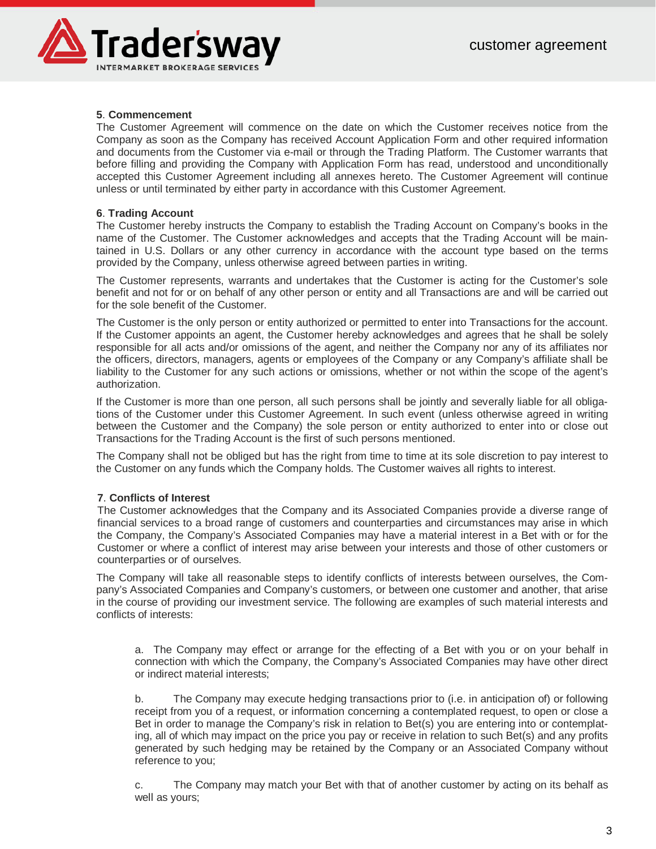

# **5**. **Commencement**

The Customer Agreement will commence on the date on which the Customer receives notice from the Company as soon as the Company has received Account Application Form and other required information and documents from the Customer via e-mail or through the Trading Platform. The Customer warrants that before filling and providing the Company with Application Form has read, understood and unconditionally accepted this Customer Agreement including all annexes hereto. The Customer Agreement will continue unless or until terminated by either party in accordance with this Customer Agreement.

# **6**. **Trading Account**

The Customer hereby instructs the Company to establish the Trading Account on Company's books in the name of the Customer. The Customer acknowledges and accepts that the Trading Account will be maintained in U.S. Dollars or any other currency in accordance with the account type based on the terms provided by the Company, unless otherwise agreed between parties in writing.

The Customer represents, warrants and undertakes that the Customer is acting for the Customer's sole benefit and not for or on behalf of any other person or entity and all Transactions are and will be carried out for the sole benefit of the Customer.

The Customer is the only person or entity authorized or permitted to enter into Transactions for the account. If the Customer appoints an agent, the Customer hereby acknowledges and agrees that he shall be solely responsible for all acts and/or omissions of the agent, and neither the Company nor any of its affiliates nor the officers, directors, managers, agents or employees of the Company or any Company's affiliate shall be liability to the Customer for any such actions or omissions, whether or not within the scope of the agent's authorization.

If the Customer is more than one person, all such persons shall be jointly and severally liable for all obligations of the Customer under this Customer Agreement. In such event (unless otherwise agreed in writing between the Customer and the Company) the sole person or entity authorized to enter into or close out Transactions for the Trading Account is the first of such persons mentioned.

The Company shall not be obliged but has the right from time to time at its sole discretion to pay interest to the Customer on any funds which the Company holds. The Customer waives all rights to interest.

# **7**. **Conflicts of Interest**

The Customer acknowledges that the Company and its Associated Companies provide a diverse range of financial services to a broad range of customers and counterparties and circumstances may arise in which the Company, the Company's Associated Companies may have a material interest in a Bet with or for the Customer or where a conflict of interest may arise between your interests and those of other customers or counterparties or of ourselves.

The Company will take all reasonable steps to identify conflicts of interests between ourselves, the Company's Associated Companies and Company's customers, or between one customer and another, that arise in the course of providing our investment service. The following are examples of such material interests and conflicts of interests:

a. The Company may effect or arrange for the effecting of a Bet with you or on your behalf in connection with which the Company, the Company's Associated Companies may have other direct or indirect material interests;

b. The Company may execute hedging transactions prior to (i.e. in anticipation of) or following receipt from you of a request, or information concerning a contemplated request, to open or close a Bet in order to manage the Company's risk in relation to Bet(s) you are entering into or contemplating, all of which may impact on the price you pay or receive in relation to such Bet(s) and any profits generated by such hedging may be retained by the Company or an Associated Company without reference to you;

c. The Company may match your Bet with that of another customer by acting on its behalf as well as yours;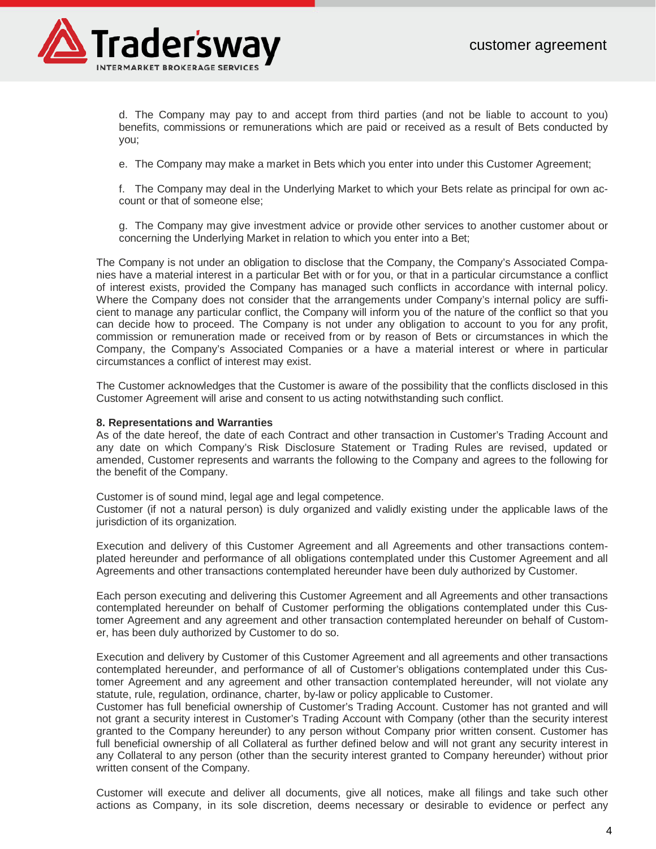

d. The Company may pay to and accept from third parties (and not be liable to account to you) benefits, commissions or remunerations which are paid or received as a result of Bets conducted by you;

e. The Company may make a market in Bets which you enter into under this Customer Agreement;

f. The Company may deal in the Underlying Market to which your Bets relate as principal for own account or that of someone else;

g. The Company may give investment advice or provide other services to another customer about or concerning the Underlying Market in relation to which you enter into a Bet;

The Company is not under an obligation to disclose that the Company, the Company's Associated Companies have a material interest in a particular Bet with or for you, or that in a particular circumstance a conflict of interest exists, provided the Company has managed such conflicts in accordance with internal policy. Where the Company does not consider that the arrangements under Company's internal policy are sufficient to manage any particular conflict, the Company will inform you of the nature of the conflict so that you can decide how to proceed. The Company is not under any obligation to account to you for any profit, commission or remuneration made or received from or by reason of Bets or circumstances in which the Company, the Company's Associated Companies or a have a material interest or where in particular circumstances a conflict of interest may exist.

The Customer acknowledges that the Customer is aware of the possibility that the conflicts disclosed in this Customer Agreement will arise and consent to us acting notwithstanding such conflict.

#### **8. Representations and Warranties**

As of the date hereof, the date of each Contract and other transaction in Customer's Trading Account and any date on which Company's Risk Disclosure Statement or Trading Rules are revised, updated or amended, Customer represents and warrants the following to the Company and agrees to the following for the benefit of the Company.

Customer is of sound mind, legal age and legal competence.

Customer (if not a natural person) is duly organized and validly existing under the applicable laws of the jurisdiction of its organization.

Execution and delivery of this Customer Agreement and all Agreements and other transactions contemplated hereunder and performance of all obligations contemplated under this Customer Agreement and all Agreements and other transactions contemplated hereunder have been duly authorized by Customer.

Each person executing and delivering this Customer Agreement and all Agreements and other transactions contemplated hereunder on behalf of Customer performing the obligations contemplated under this Customer Agreement and any agreement and other transaction contemplated hereunder on behalf of Customer, has been duly authorized by Customer to do so.

Execution and delivery by Customer of this Customer Agreement and all agreements and other transactions contemplated hereunder, and performance of all of Customer's obligations contemplated under this Customer Agreement and any agreement and other transaction contemplated hereunder, will not violate any statute, rule, regulation, ordinance, charter, by-law or policy applicable to Customer.

Customer has full beneficial ownership of Customer's Trading Account. Customer has not granted and will not grant a security interest in Customer's Trading Account with Company (other than the security interest granted to the Company hereunder) to any person without Company prior written consent. Customer has full beneficial ownership of all Collateral as further defined below and will not grant any security interest in any Collateral to any person (other than the security interest granted to Company hereunder) without prior written consent of the Company.

Customer will execute and deliver all documents, give all notices, make all filings and take such other actions as Company, in its sole discretion, deems necessary or desirable to evidence or perfect any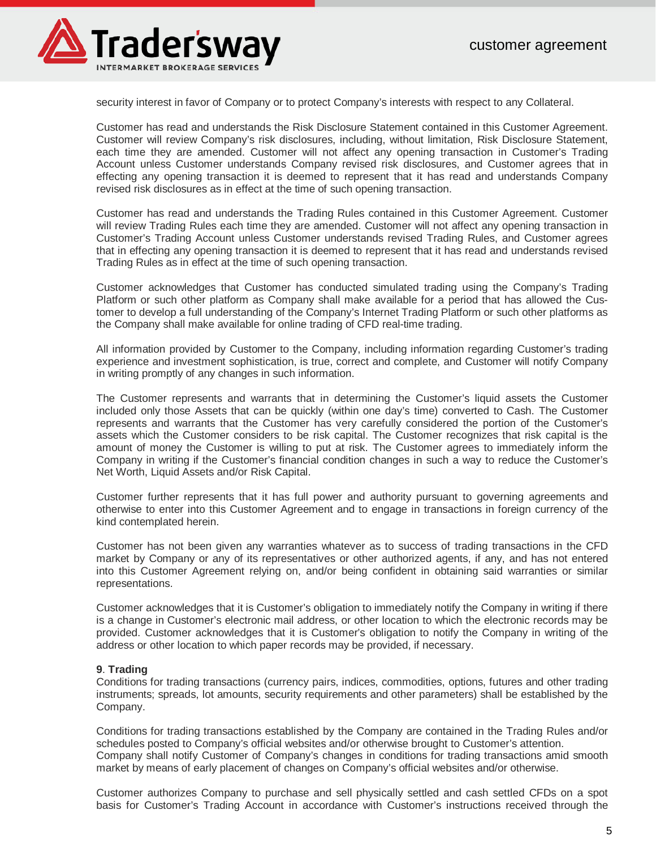

security interest in favor of Company or to protect Company's interests with respect to any Collateral.

Customer has read and understands the Risk Disclosure Statement contained in this Customer Agreement. Customer will review Company's risk disclosures, including, without limitation, Risk Disclosure Statement, each time they are amended. Customer will not affect any opening transaction in Customer's Trading Account unless Customer understands Company revised risk disclosures, and Customer agrees that in effecting any opening transaction it is deemed to represent that it has read and understands Company revised risk disclosures as in effect at the time of such opening transaction.

Customer has read and understands the Trading Rules contained in this Customer Agreement. Customer will review Trading Rules each time they are amended. Customer will not affect any opening transaction in Customer's Trading Account unless Customer understands revised Trading Rules, and Customer agrees that in effecting any opening transaction it is deemed to represent that it has read and understands revised Trading Rules as in effect at the time of such opening transaction.

Customer acknowledges that Customer has conducted simulated trading using the Company's Trading Platform or such other platform as Company shall make available for a period that has allowed the Customer to develop a full understanding of the Company's Internet Trading Platform or such other platforms as the Company shall make available for online trading of CFD real-time trading.

All information provided by Customer to the Company, including information regarding Customer's trading experience and investment sophistication, is true, correct and complete, and Customer will notify Company in writing promptly of any changes in such information.

The Customer represents and warrants that in determining the Customer's liquid assets the Customer included only those Assets that can be quickly (within one day's time) converted to Cash. The Customer represents and warrants that the Customer has very carefully considered the portion of the Customer's assets which the Customer considers to be risk capital. The Customer recognizes that risk capital is the amount of money the Customer is willing to put at risk. The Customer agrees to immediately inform the Company in writing if the Customer's financial condition changes in such a way to reduce the Customer's Net Worth, Liquid Assets and/or Risk Capital.

Customer further represents that it has full power and authority pursuant to governing agreements and otherwise to enter into this Customer Agreement and to engage in transactions in foreign currency of the kind contemplated herein.

Customer has not been given any warranties whatever as to success of trading transactions in the CFD market by Company or any of its representatives or other authorized agents, if any, and has not entered into this Customer Agreement relying on, and/or being confident in obtaining said warranties or similar representations.

Customer acknowledges that it is Customer's obligation to immediately notify the Company in writing if there is a change in Customer's electronic mail address, or other location to which the electronic records may be provided. Customer acknowledges that it is Customer's obligation to notify the Company in writing of the address or other location to which paper records may be provided, if necessary.

#### **9**. **Trading**

Conditions for trading transactions (currency pairs, indices, commodities, options, futures and other trading instruments; spreads, lot amounts, security requirements and other parameters) shall be established by the Company.

Conditions for trading transactions established by the Company are contained in the Trading Rules and/or schedules posted to Company's official websites and/or otherwise brought to Customer's attention. Company shall notify Customer of Company's changes in conditions for trading transactions amid smooth market by means of early placement of changes on Company's official websites and/or otherwise.

Customer authorizes Company to purchase and sell physically settled and cash settled CFDs on a spot basis for Customer's Trading Account in accordance with Customer's instructions received through the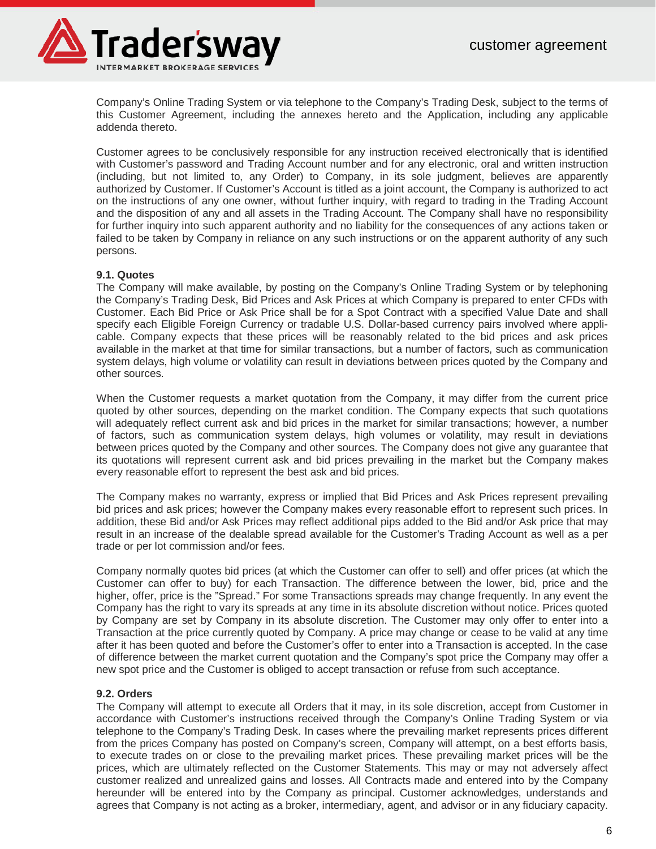

Company's Online Trading System or via telephone to the Company's Trading Desk, subject to the terms of this Customer Agreement, including the annexes hereto and the Application, including any applicable addenda thereto.

Customer agrees to be conclusively responsible for any instruction received electronically that is identified with Customer's password and Trading Account number and for any electronic, oral and written instruction (including, but not limited to, any Order) to Company, in its sole judgment, believes are apparently authorized by Customer. If Customer's Account is titled as a joint account, the Company is authorized to act on the instructions of any one owner, without further inquiry, with regard to trading in the Trading Account and the disposition of any and all assets in the Trading Account. The Company shall have no responsibility for further inquiry into such apparent authority and no liability for the consequences of any actions taken or failed to be taken by Company in reliance on any such instructions or on the apparent authority of any such persons.

# **9.1. Quotes**

The Company will make available, by posting on the Company's Online Trading System or by telephoning the Company's Trading Desk, Bid Prices and Ask Prices at which Company is prepared to enter CFDs with Customer. Each Bid Price or Ask Price shall be for a Spot Contract with a specified Value Date and shall specify each Eligible Foreign Currency or tradable U.S. Dollar-based currency pairs involved where applicable. Company expects that these prices will be reasonably related to the bid prices and ask prices available in the market at that time for similar transactions, but a number of factors, such as communication system delays, high volume or volatility can result in deviations between prices quoted by the Company and other sources.

When the Customer requests a market quotation from the Company, it may differ from the current price quoted by other sources, depending on the market condition. The Company expects that such quotations will adequately reflect current ask and bid prices in the market for similar transactions; however, a number of factors, such as communication system delays, high volumes or volatility, may result in deviations between prices quoted by the Company and other sources. The Company does not give any guarantee that its quotations will represent current ask and bid prices prevailing in the market but the Company makes every reasonable effort to represent the best ask and bid prices.

The Company makes no warranty, express or implied that Bid Prices and Ask Prices represent prevailing bid prices and ask prices; however the Company makes every reasonable effort to represent such prices. In addition, these Bid and/or Ask Prices may reflect additional pips added to the Bid and/or Ask price that may result in an increase of the dealable spread available for the Customer's Trading Account as well as a per trade or per lot commission and/or fees.

Company normally quotes bid prices (at which the Customer can offer to sell) and offer prices (at which the Customer can offer to buy) for each Transaction. The difference between the lower, bid, price and the higher, offer, price is the "Spread." For some Transactions spreads may change frequently. In any event the Company has the right to vary its spreads at any time in its absolute discretion without notice. Prices quoted by Company are set by Company in its absolute discretion. The Customer may only offer to enter into a Transaction at the price currently quoted by Company. A price may change or cease to be valid at any time after it has been quoted and before the Customer's offer to enter into a Transaction is accepted. In the case of difference between the market current quotation and the Company's spot price the Company may offer a new spot price and the Customer is obliged to accept transaction or refuse from such acceptance.

#### **9.2. Orders**

The Company will attempt to execute all Orders that it may, in its sole discretion, accept from Customer in accordance with Customer's instructions received through the Company's Online Trading System or via telephone to the Company's Trading Desk. In cases where the prevailing market represents prices different from the prices Company has posted on Company's screen, Company will attempt, on a best efforts basis, to execute trades on or close to the prevailing market prices. These prevailing market prices will be the prices, which are ultimately reflected on the Customer Statements. This may or may not adversely affect customer realized and unrealized gains and losses. All Contracts made and entered into by the Company hereunder will be entered into by the Company as principal. Customer acknowledges, understands and agrees that Company is not acting as a broker, intermediary, agent, and advisor or in any fiduciary capacity.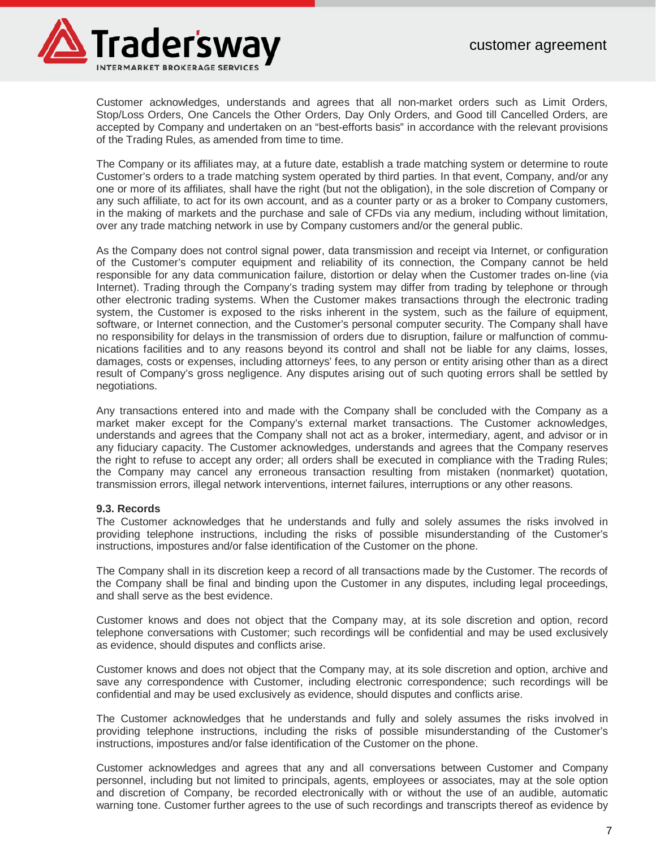

Customer acknowledges, understands and agrees that all non-market orders such as Limit Orders, Stop/Loss Orders, One Cancels the Other Orders, Day Only Orders, and Good till Cancelled Orders, are accepted by Company and undertaken on an "best-efforts basis" in accordance with the relevant provisions of the Trading Rules, as amended from time to time.

The Company or its affiliates may, at a future date, establish a trade matching system or determine to route Customer's orders to a trade matching system operated by third parties. In that event, Company, and/or any one or more of its affiliates, shall have the right (but not the obligation), in the sole discretion of Company or any such affiliate, to act for its own account, and as a counter party or as a broker to Company customers, in the making of markets and the purchase and sale of CFDs via any medium, including without limitation, over any trade matching network in use by Company customers and/or the general public.

As the Company does not control signal power, data transmission and receipt via Internet, or configuration of the Customer's computer equipment and reliability of its connection, the Company cannot be held responsible for any data communication failure, distortion or delay when the Customer trades on-line (via Internet). Trading through the Company's trading system may differ from trading by telephone or through other electronic trading systems. When the Customer makes transactions through the electronic trading system, the Customer is exposed to the risks inherent in the system, such as the failure of equipment, software, or Internet connection, and the Customer's personal computer security. The Company shall have no responsibility for delays in the transmission of orders due to disruption, failure or malfunction of communications facilities and to any reasons beyond its control and shall not be liable for any claims, losses, damages, costs or expenses, including attorneys' fees, to any person or entity arising other than as a direct result of Company's gross negligence. Any disputes arising out of such quoting errors shall be settled by negotiations.

Any transactions entered into and made with the Company shall be concluded with the Company as a market maker except for the Company's external market transactions. The Customer acknowledges, understands and agrees that the Company shall not act as a broker, intermediary, agent, and advisor or in any fiduciary capacity. The Customer acknowledges, understands and agrees that the Company reserves the right to refuse to accept any order; all orders shall be executed in compliance with the Trading Rules; the Company may cancel any erroneous transaction resulting from mistaken (nonmarket) quotation, transmission errors, illegal network interventions, internet failures, interruptions or any other reasons.

# **9.3. Records**

The Customer acknowledges that he understands and fully and solely assumes the risks involved in providing telephone instructions, including the risks of possible misunderstanding of the Customer's instructions, impostures and/or false identification of the Customer on the phone.

The Company shall in its discretion keep a record of all transactions made by the Customer. The records of the Company shall be final and binding upon the Customer in any disputes, including legal proceedings, and shall serve as the best evidence.

Customer knows and does not object that the Company may, at its sole discretion and option, record telephone conversations with Customer; such recordings will be confidential and may be used exclusively as evidence, should disputes and conflicts arise.

Customer knows and does not object that the Company may, at its sole discretion and option, archive and save any correspondence with Customer, including electronic correspondence; such recordings will be confidential and may be used exclusively as evidence, should disputes and conflicts arise.

The Customer acknowledges that he understands and fully and solely assumes the risks involved in providing telephone instructions, including the risks of possible misunderstanding of the Customer's instructions, impostures and/or false identification of the Customer on the phone.

Customer acknowledges and agrees that any and all conversations between Customer and Company personnel, including but not limited to principals, agents, employees or associates, may at the sole option and discretion of Company, be recorded electronically with or without the use of an audible, automatic warning tone. Customer further agrees to the use of such recordings and transcripts thereof as evidence by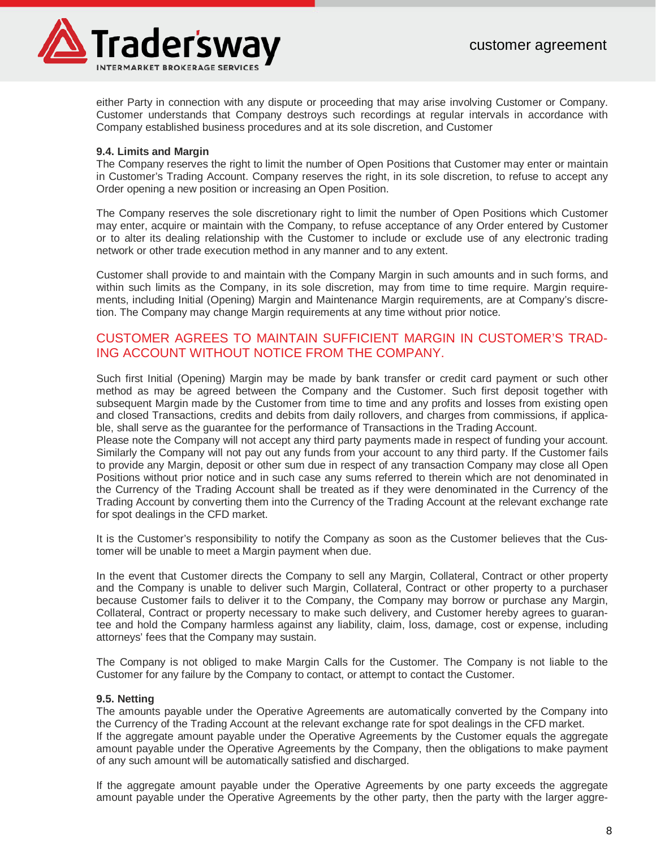

either Party in connection with any dispute or proceeding that may arise involving Customer or Company. Customer understands that Company destroys such recordings at regular intervals in accordance with Company established business procedures and at its sole discretion, and Customer

# **9.4. Limits and Margin**

The Company reserves the right to limit the number of Open Positions that Customer may enter or maintain in Customer's Trading Account. Company reserves the right, in its sole discretion, to refuse to accept any Order opening a new position or increasing an Open Position.

The Company reserves the sole discretionary right to limit the number of Open Positions which Customer may enter, acquire or maintain with the Company, to refuse acceptance of any Order entered by Customer or to alter its dealing relationship with the Customer to include or exclude use of any electronic trading network or other trade execution method in any manner and to any extent.

Customer shall provide to and maintain with the Company Margin in such amounts and in such forms, and within such limits as the Company, in its sole discretion, may from time to time require. Margin requirements, including Initial (Opening) Margin and Maintenance Margin requirements, are at Company's discretion. The Company may change Margin requirements at any time without prior notice.

# CUSTOMER AGREES TO MAINTAIN SUFFICIENT MARGIN IN CUSTOMER'S TRAD-ING ACCOUNT WITHOUT NOTICE FROM THE COMPANY.

Such first Initial (Opening) Margin may be made by bank transfer or credit card payment or such other method as may be agreed between the Company and the Customer. Such first deposit together with subsequent Margin made by the Customer from time to time and any profits and losses from existing open and closed Transactions, credits and debits from daily rollovers, and charges from commissions, if applicable, shall serve as the guarantee for the performance of Transactions in the Trading Account.

Please note the Company will not accept any third party payments made in respect of funding your account. Similarly the Company will not pay out any funds from your account to any third party. If the Customer fails to provide any Margin, deposit or other sum due in respect of any transaction Company may close all Open Positions without prior notice and in such case any sums referred to therein which are not denominated in the Currency of the Trading Account shall be treated as if they were denominated in the Currency of the Trading Account by converting them into the Currency of the Trading Account at the relevant exchange rate for spot dealings in the CFD market.

It is the Customer's responsibility to notify the Company as soon as the Customer believes that the Customer will be unable to meet a Margin payment when due.

In the event that Customer directs the Company to sell any Margin, Collateral, Contract or other property and the Company is unable to deliver such Margin, Collateral, Contract or other property to a purchaser because Customer fails to deliver it to the Company, the Company may borrow or purchase any Margin, Collateral, Contract or property necessary to make such delivery, and Customer hereby agrees to guarantee and hold the Company harmless against any liability, claim, loss, damage, cost or expense, including attorneys' fees that the Company may sustain.

The Company is not obliged to make Margin Calls for the Customer. The Company is not liable to the Customer for any failure by the Company to contact, or attempt to contact the Customer.

# **9.5. Netting**

The amounts payable under the Operative Agreements are automatically converted by the Company into the Currency of the Trading Account at the relevant exchange rate for spot dealings in the CFD market. If the aggregate amount payable under the Operative Agreements by the Customer equals the aggregate amount payable under the Operative Agreements by the Company, then the obligations to make payment of any such amount will be automatically satisfied and discharged.

If the aggregate amount payable under the Operative Agreements by one party exceeds the aggregate amount payable under the Operative Agreements by the other party, then the party with the larger aggre-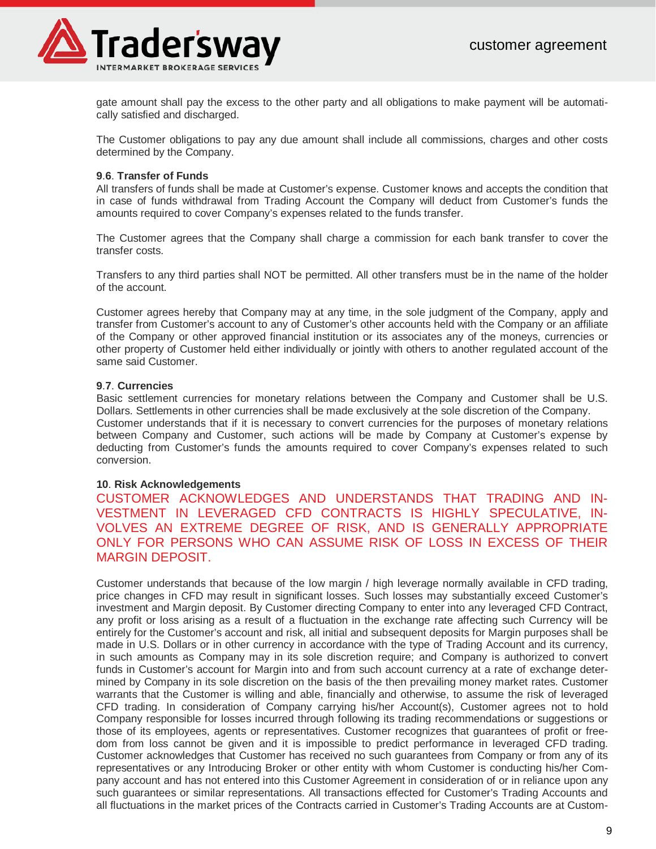

gate amount shall pay the excess to the other party and all obligations to make payment will be automatically satisfied and discharged.

The Customer obligations to pay any due amount shall include all commissions, charges and other costs determined by the Company.

#### **9**.**6**. **Transfer of Funds**

All transfers of funds shall be made at Customer's expense. Customer knows and accepts the condition that in case of funds withdrawal from Trading Account the Company will deduct from Customer's funds the amounts required to cover Company's expenses related to the funds transfer.

The Customer agrees that the Company shall charge a commission for each bank transfer to cover the transfer costs.

Transfers to any third parties shall NOT be permitted. All other transfers must be in the name of the holder of the account.

Customer agrees hereby that Company may at any time, in the sole judgment of the Company, apply and transfer from Customer's account to any of Customer's other accounts held with the Company or an affiliate of the Company or other approved financial institution or its associates any of the moneys, currencies or other property of Customer held either individually or jointly with others to another regulated account of the same said Customer.

# **9**.**7**. **Currencies**

Basic settlement currencies for monetary relations between the Company and Customer shall be U.S. Dollars. Settlements in other currencies shall be made exclusively at the sole discretion of the Company. Customer understands that if it is necessary to convert currencies for the purposes of monetary relations between Company and Customer, such actions will be made by Company at Customer's expense by deducting from Customer's funds the amounts required to cover Company's expenses related to such conversion.

#### **10**. **Risk Acknowledgements**

CUSTOMER ACKNOWLEDGES AND UNDERSTANDS THAT TRADING AND IN-VESTMENT IN LEVERAGED CFD CONTRACTS IS HIGHLY SPECULATIVE, IN-VOLVES AN EXTREME DEGREE OF RISK, AND IS GENERALLY APPROPRIATE ONLY FOR PERSONS WHO CAN ASSUME RISK OF LOSS IN EXCESS OF THEIR MARGIN DEPOSIT.

Customer understands that because of the low margin / high leverage normally available in CFD trading, price changes in CFD may result in significant losses. Such losses may substantially exceed Customer's investment and Margin deposit. By Customer directing Company to enter into any leveraged CFD Contract, any profit or loss arising as a result of a fluctuation in the exchange rate affecting such Currency will be entirely for the Customer's account and risk, all initial and subsequent deposits for Margin purposes shall be made in U.S. Dollars or in other currency in accordance with the type of Trading Account and its currency, in such amounts as Company may in its sole discretion require; and Company is authorized to convert funds in Customer's account for Margin into and from such account currency at a rate of exchange determined by Company in its sole discretion on the basis of the then prevailing money market rates. Customer warrants that the Customer is willing and able, financially and otherwise, to assume the risk of leveraged CFD trading. In consideration of Company carrying his/her Account(s), Customer agrees not to hold Company responsible for losses incurred through following its trading recommendations or suggestions or those of its employees, agents or representatives. Customer recognizes that guarantees of profit or freedom from loss cannot be given and it is impossible to predict performance in leveraged CFD trading. Customer acknowledges that Customer has received no such guarantees from Company or from any of its representatives or any Introducing Broker or other entity with whom Customer is conducting his/her Company account and has not entered into this Customer Agreement in consideration of or in reliance upon any such guarantees or similar representations. All transactions effected for Customer's Trading Accounts and all fluctuations in the market prices of the Contracts carried in Customer's Trading Accounts are at Custom-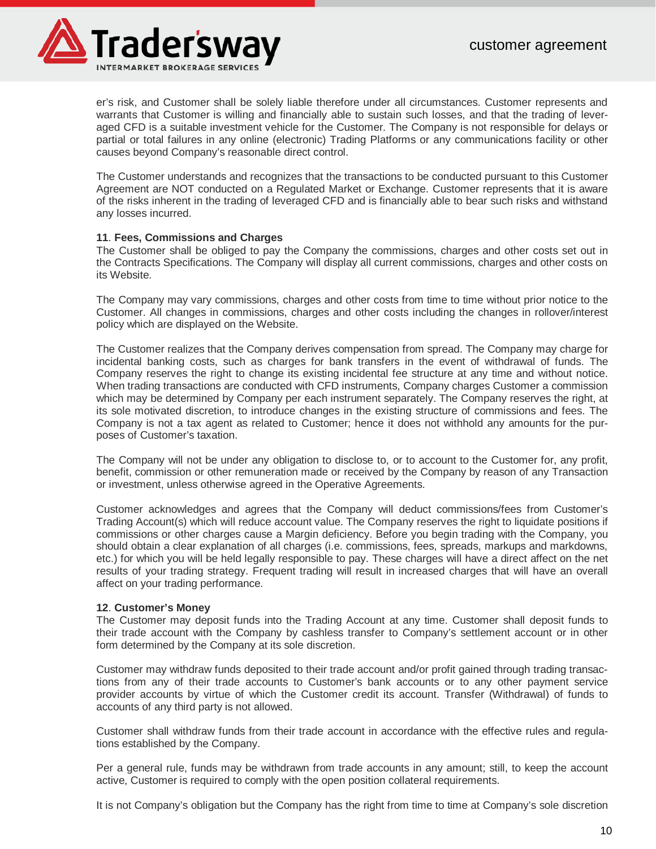

er's risk, and Customer shall be solely liable therefore under all circumstances. Customer represents and warrants that Customer is willing and financially able to sustain such losses, and that the trading of leveraged CFD is a suitable investment vehicle for the Customer. The Company is not responsible for delays or partial or total failures in any online (electronic) Trading Platforms or any communications facility or other causes beyond Company's reasonable direct control.

The Customer understands and recognizes that the transactions to be conducted pursuant to this Customer Agreement are NOT conducted on a Regulated Market or Exchange. Customer represents that it is aware of the risks inherent in the trading of leveraged CFD and is financially able to bear such risks and withstand any losses incurred.

# **11**. **Fees, Commissions and Charges**

The Customer shall be obliged to pay the Company the commissions, charges and other costs set out in the Contracts Specifications. The Company will display all current commissions, charges and other costs on its Website.

The Company may vary commissions, charges and other costs from time to time without prior notice to the Customer. All changes in commissions, charges and other costs including the changes in rollover/interest policy which are displayed on the Website.

The Customer realizes that the Company derives compensation from spread. The Company may charge for incidental banking costs, such as charges for bank transfers in the event of withdrawal of funds. The Company reserves the right to change its existing incidental fee structure at any time and without notice. When trading transactions are conducted with CFD instruments, Company charges Customer a commission which may be determined by Company per each instrument separately. The Company reserves the right, at its sole motivated discretion, to introduce changes in the existing structure of commissions and fees. The Company is not a tax agent as related to Customer; hence it does not withhold any amounts for the purposes of Customer's taxation.

The Company will not be under any obligation to disclose to, or to account to the Customer for, any profit, benefit, commission or other remuneration made or received by the Company by reason of any Transaction or investment, unless otherwise agreed in the Operative Agreements.

Customer acknowledges and agrees that the Company will deduct commissions/fees from Customer's Trading Account(s) which will reduce account value. The Company reserves the right to liquidate positions if commissions or other charges cause a Margin deficiency. Before you begin trading with the Company, you should obtain a clear explanation of all charges (i.e. commissions, fees, spreads, markups and markdowns, etc.) for which you will be held legally responsible to pay. These charges will have a direct affect on the net results of your trading strategy. Frequent trading will result in increased charges that will have an overall affect on your trading performance.

# **12**. **Customer's Money**

The Customer may deposit funds into the Trading Account at any time. Customer shall deposit funds to their trade account with the Company by cashless transfer to Company's settlement account or in other form determined by the Company at its sole discretion.

Customer may withdraw funds deposited to their trade account and/or profit gained through trading transactions from any of their trade accounts to Customer's bank accounts or to any other payment service provider accounts by virtue of which the Customer credit its account. Transfer (Withdrawal) of funds to accounts of any third party is not allowed.

Customer shall withdraw funds from their trade account in accordance with the effective rules and regulations established by the Company.

Per a general rule, funds may be withdrawn from trade accounts in any amount; still, to keep the account active, Customer is required to comply with the open position collateral requirements.

It is not Company's obligation but the Company has the right from time to time at Company's sole discretion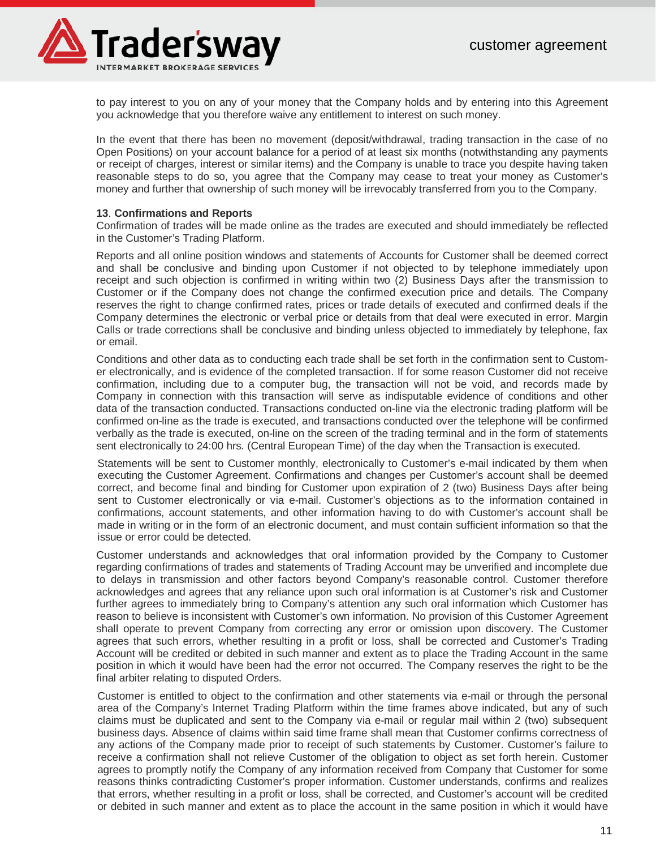

to pay interest to you on any of your money that the Company holds and by entering into this Agreement you acknowledge that you therefore waive any entitlement to interest on such money.

In the event that there has been no movement (deposit/withdrawal, trading transaction in the case of no Open Positions) on your account balance for a period of at least six months (notwithstanding any payments or receipt of charges, interest or similar items) and the Company is unable to trace you despite having taken reasonable steps to do so, you agree that the Company may cease to treat your money as Customer's money and further that ownership of such money will be irrevocably transferred from you to the Company.

#### **13**. **Confirmations and Reports**

Confirmation of trades will be made online as the trades are executed and should immediately be reflected in the Customer's Trading Platform.

Reports and all online position windows and statements of Accounts for Customer shall be deemed correct and shall be conclusive and binding upon Customer if not objected to by telephone immediately upon receipt and such objection is confirmed in writing within two (2) Business Days after the transmission to Customer or if the Company does not change the confirmed execution price and details. The Company reserves the right to change confirmed rates, prices or trade details of executed and confirmed deals if the Company determines the electronic or verbal price or details from that deal were executed in error. Margin Calls or trade corrections shall be conclusive and binding unless objected to immediately by telephone, fax or email.

Conditions and other data as to conducting each trade shall be set forth in the confirmation sent to Customer electronically, and is evidence of the completed transaction. If for some reason Customer did not receive confirmation, including due to a computer bug, the transaction will not be void, and records made by Company in connection with this transaction will serve as indisputable evidence of conditions and other data of the transaction conducted. Transactions conducted on-line via the electronic trading platform will be confirmed on-line as the trade is executed, and transactions conducted over the telephone will be confirmed verbally as the trade is executed, on-line on the screen of the trading terminal and in the form of statements sent electronically to 24:00 hrs. (Central European Time) of the day when the Transaction is executed.

Statements will be sent to Customer monthly, electronically to Customer's e-mail indicated by them when executing the Customer Agreement. Confirmations and changes per Customer's account shall be deemed correct, and become final and binding for Customer upon expiration of 2 (two) Business Days after being sent to Customer electronically or via e-mail. Customer's objections as to the information contained in confirmations, account statements, and other information having to do with Customer's account shall be made in writing or in the form of an electronic document, and must contain sufficient information so that the issue or error could be detected.

Customer understands and acknowledges that oral information provided by the Company to Customer regarding confirmations of trades and statements of Trading Account may be unverified and incomplete due to delays in transmission and other factors beyond Company's reasonable control. Customer therefore acknowledges and agrees that any reliance upon such oral information is at Customer's risk and Customer further agrees to immediately bring to Company's attention any such oral information which Customer has reason to believe is inconsistent with Customer's own information. No provision of this Customer Agreement shall operate to prevent Company from correcting any error or omission upon discovery. The Customer agrees that such errors, whether resulting in a profit or loss, shall be corrected and Customer's Trading Account will be credited or debited in such manner and extent as to place the Trading Account in the same position in which it would have been had the error not occurred. The Company reserves the right to be the final arbiter relating to disputed Orders.

Customer is entitled to object to the confirmation and other statements via e-mail or through the personal area of the Company's Internet Trading Platform within the time frames above indicated, but any of such claims must be duplicated and sent to the Company via e-mail or regular mail within 2 (two) subsequent business days. Absence of claims within said time frame shall mean that Customer confirms correctness of any actions of the Company made prior to receipt of such statements by Customer. Customer's failure to receive a confirmation shall not relieve Customer of the obligation to object as set forth herein. Customer agrees to promptly notify the Company of any information received from Company that Customer for some reasons thinks contradicting Customer's proper information. Customer understands, confirms and realizes that errors, whether resulting in a profit or loss, shall be corrected, and Customer's account will be credited or debited in such manner and extent as to place the account in the same position in which it would have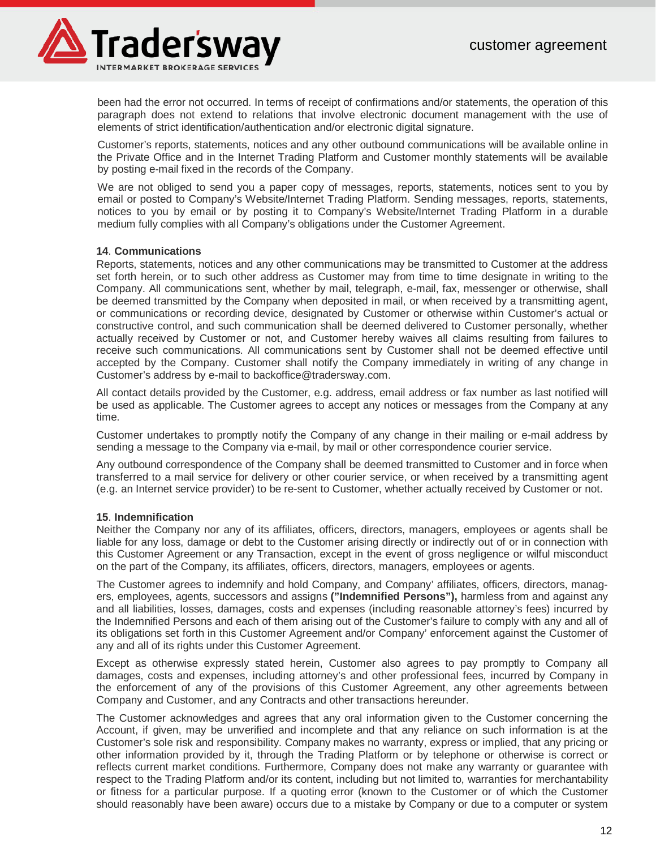

been had the error not occurred. In terms of receipt of confirmations and/or statements, the operation of this paragraph does not extend to relations that involve electronic document management with the use of elements of strict identification/authentication and/or electronic digital signature.

Customer's reports, statements, notices and any other outbound communications will be available online in the Private Office and in the Internet Trading Platform and Customer monthly statements will be available by posting e-mail fixed in the records of the Company.

We are not obliged to send you a paper copy of messages, reports, statements, notices sent to you by email or posted to Company's Website/Internet Trading Platform. Sending messages, reports, statements, notices to you by email or by posting it to Company's Website/Internet Trading Platform in a durable medium fully complies with all Company's obligations under the Customer Agreement.

#### **14**. **Communications**

Reports, statements, notices and any other communications may be transmitted to Customer at the address set forth herein, or to such other address as Customer may from time to time designate in writing to the Company. All communications sent, whether by mail, telegraph, e-mail, fax, messenger or otherwise, shall be deemed transmitted by the Company when deposited in mail, or when received by a transmitting agent, or communications or recording device, designated by Customer or otherwise within Customer's actual or constructive control, and such communication shall be deemed delivered to Customer personally, whether actually received by Customer or not, and Customer hereby waives all claims resulting from failures to receive such communications. All communications sent by Customer shall not be deemed effective until accepted by the Company. Customer shall notify the Company immediately in writing of any change in Customer's address by e-mail to backoffice@tradersway.com.

All contact details provided by the Customer, e.g. address, email address or fax number as last notified will be used as applicable. The Customer agrees to accept any notices or messages from the Company at any time.

Customer undertakes to promptly notify the Company of any change in their mailing or e-mail address by sending a message to the Company via e-mail, by mail or other correspondence courier service.

Any outbound correspondence of the Company shall be deemed transmitted to Customer and in force when transferred to a mail service for delivery or other courier service, or when received by a transmitting agent (e.g. an Internet service provider) to be re-sent to Customer, whether actually received by Customer or not.

#### **15**. **Indemnification**

Neither the Company nor any of its affiliates, officers, directors, managers, employees or agents shall be liable for any loss, damage or debt to the Customer arising directly or indirectly out of or in connection with this Customer Agreement or any Transaction, except in the event of gross negligence or wilful misconduct on the part of the Company, its affiliates, officers, directors, managers, employees or agents.

The Customer agrees to indemnify and hold Company, and Company' affiliates, officers, directors, managers, employees, agents, successors and assigns **("Indemnified Persons"),** harmless from and against any and all liabilities, losses, damages, costs and expenses (including reasonable attorney's fees) incurred by the Indemnified Persons and each of them arising out of the Customer's failure to comply with any and all of its obligations set forth in this Customer Agreement and/or Company' enforcement against the Customer of any and all of its rights under this Customer Agreement.

Except as otherwise expressly stated herein, Customer also agrees to pay promptly to Company all damages, costs and expenses, including attorney's and other professional fees, incurred by Company in the enforcement of any of the provisions of this Customer Agreement, any other agreements between Company and Customer, and any Contracts and other transactions hereunder.

The Customer acknowledges and agrees that any oral information given to the Customer concerning the Account, if given, may be unverified and incomplete and that any reliance on such information is at the Customer's sole risk and responsibility. Company makes no warranty, express or implied, that any pricing or other information provided by it, through the Trading Platform or by telephone or otherwise is correct or reflects current market conditions. Furthermore, Company does not make any warranty or guarantee with respect to the Trading Platform and/or its content, including but not limited to, warranties for merchantability or fitness for a particular purpose. If a quoting error (known to the Customer or of which the Customer should reasonably have been aware) occurs due to a mistake by Company or due to a computer or system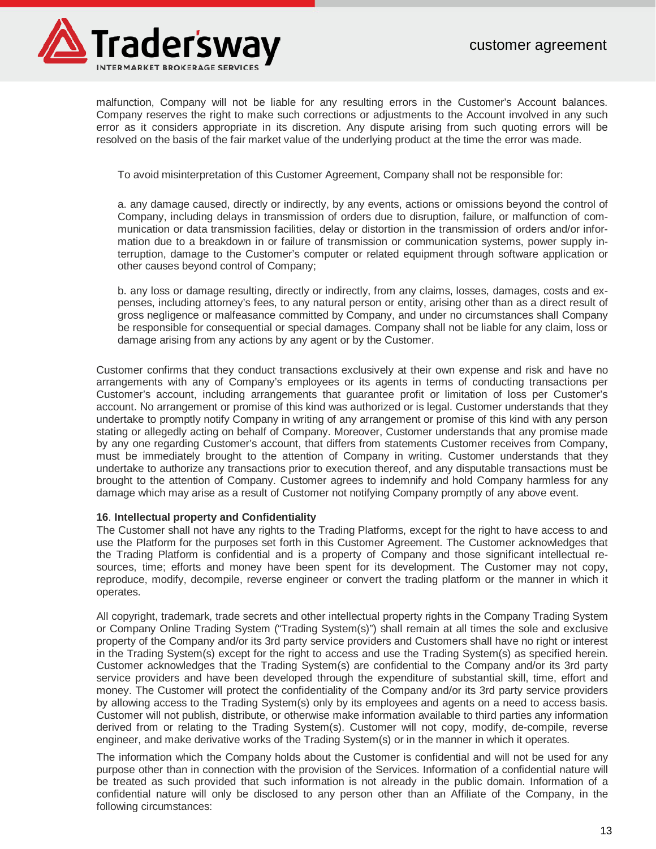

malfunction, Company will not be liable for any resulting errors in the Customer's Account balances. Company reserves the right to make such corrections or adjustments to the Account involved in any such error as it considers appropriate in its discretion. Any dispute arising from such quoting errors will be resolved on the basis of the fair market value of the underlying product at the time the error was made.

To avoid misinterpretation of this Customer Agreement, Company shall not be responsible for:

a. any damage caused, directly or indirectly, by any events, actions or omissions beyond the control of Company, including delays in transmission of orders due to disruption, failure, or malfunction of communication or data transmission facilities, delay or distortion in the transmission of orders and/or information due to a breakdown in or failure of transmission or communication systems, power supply interruption, damage to the Customer's computer or related equipment through software application or other causes beyond control of Company;

b. any loss or damage resulting, directly or indirectly, from any claims, losses, damages, costs and expenses, including attorney's fees, to any natural person or entity, arising other than as a direct result of gross negligence or malfeasance committed by Company, and under no circumstances shall Company be responsible for consequential or special damages. Company shall not be liable for any claim, loss or damage arising from any actions by any agent or by the Customer.

Customer confirms that they conduct transactions exclusively at their own expense and risk and have no arrangements with any of Company's employees or its agents in terms of conducting transactions per Customer's account, including arrangements that guarantee profit or limitation of loss per Customer's account. No arrangement or promise of this kind was authorized or is legal. Customer understands that they undertake to promptly notify Company in writing of any arrangement or promise of this kind with any person stating or allegedly acting on behalf of Company. Moreover, Customer understands that any promise made by any one regarding Customer's account, that differs from statements Customer receives from Company, must be immediately brought to the attention of Company in writing. Customer understands that they undertake to authorize any transactions prior to execution thereof, and any disputable transactions must be brought to the attention of Company. Customer agrees to indemnify and hold Company harmless for any damage which may arise as a result of Customer not notifying Company promptly of any above event.

#### **16**. **Intellectual property and Confidentiality**

The Customer shall not have any rights to the Trading Platforms, except for the right to have access to and use the Platform for the purposes set forth in this Customer Agreement. The Customer acknowledges that the Trading Platform is confidential and is a property of Company and those significant intellectual resources, time; efforts and money have been spent for its development. The Customer may not copy, reproduce, modify, decompile, reverse engineer or convert the trading platform or the manner in which it operates.

All copyright, trademark, trade secrets and other intellectual property rights in the Company Trading System or Company Online Trading System ("Trading System(s)") shall remain at all times the sole and exclusive property of the Company and/or its 3rd party service providers and Customers shall have no right or interest in the Trading System(s) except for the right to access and use the Trading System(s) as specified herein. Customer acknowledges that the Trading System(s) are confidential to the Company and/or its 3rd party service providers and have been developed through the expenditure of substantial skill, time, effort and money. The Customer will protect the confidentiality of the Company and/or its 3rd party service providers by allowing access to the Trading System(s) only by its employees and agents on a need to access basis. Customer will not publish, distribute, or otherwise make information available to third parties any information derived from or relating to the Trading System(s). Customer will not copy, modify, de-compile, reverse engineer, and make derivative works of the Trading System(s) or in the manner in which it operates.

The information which the Company holds about the Customer is confidential and will not be used for any purpose other than in connection with the provision of the Services. Information of a confidential nature will be treated as such provided that such information is not already in the public domain. Information of a confidential nature will only be disclosed to any person other than an Affiliate of the Company, in the following circumstances: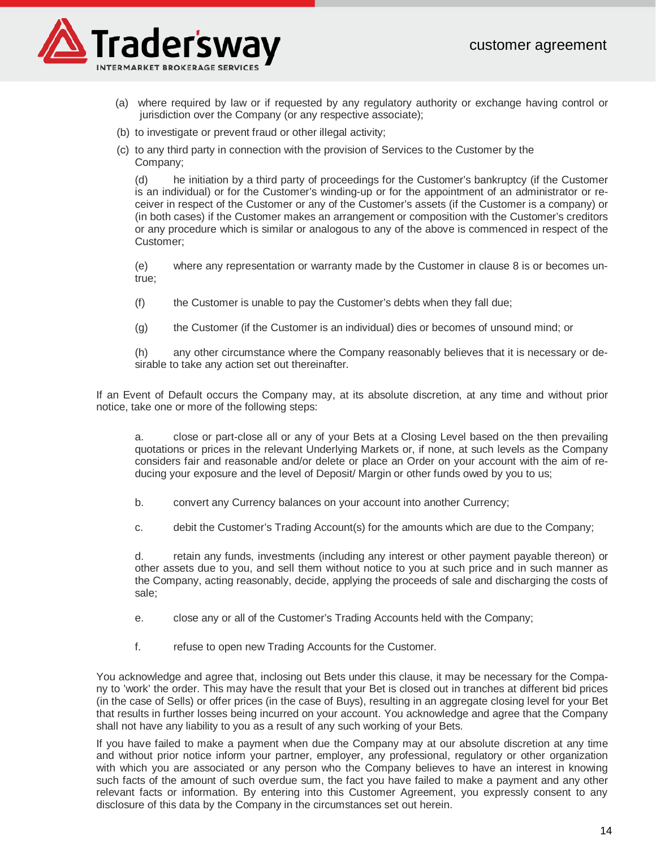

- (a) where required by law or if requested by any regulatory authority or exchange having control or jurisdiction over the Company (or any respective associate);
- (b) to investigate or prevent fraud or other illegal activity;
- (с) to any third party in connection with the provision of Services to the Customer by the Company;

(d) he initiation by a third party of proceedings for the Customer's bankruptcy (if the Customer is an individual) or for the Customer's winding-up or for the appointment of an administrator or receiver in respect of the Customer or any of the Customer's assets (if the Customer is a company) or (in both cases) if the Customer makes an arrangement or composition with the Customer's creditors or any procedure which is similar or analogous to any of the above is commenced in respect of the Customer;

(e) where any representation or warranty made by the Customer in clause 8 is or becomes untrue;

- (f) the Customer is unable to pay the Customer's debts when they fall due;
- (g) the Customer (if the Customer is an individual) dies or becomes of unsound mind; or

(h) any other circumstance where the Company reasonably believes that it is necessary or desirable to take any action set out thereinafter.

If an Event of Default occurs the Company may, at its absolute discretion, at any time and without prior notice, take one or more of the following steps:

a. close or part-close all or any of your Bets at a Closing Level based on the then prevailing quotations or prices in the relevant Underlying Markets or, if none, at such levels as the Company considers fair and reasonable and/or delete or place an Order on your account with the aim of reducing your exposure and the level of Deposit/ Margin or other funds owed by you to us;

b. convert any Currency balances on your account into another Currency;

c. debit the Customer's Trading Account(s) for the amounts which are due to the Company;

d. retain any funds, investments (including any interest or other payment payable thereon) or other assets due to you, and sell them without notice to you at such price and in such manner as the Company, acting reasonably, decide, applying the proceeds of sale and discharging the costs of sale;

e. close any or all of the Customer's Trading Accounts held with the Company;

f. refuse to open new Trading Accounts for the Customer.

You acknowledge and agree that, inclosing out Bets under this clause, it may be necessary for the Company to 'work' the order. This may have the result that your Bet is closed out in tranches at different bid prices (in the case of Sells) or offer prices (in the case of Buys), resulting in an aggregate closing level for your Bet that results in further losses being incurred on your account. You acknowledge and agree that the Company shall not have any liability to you as a result of any such working of your Bets.

If you have failed to make a payment when due the Company may at our absolute discretion at any time and without prior notice inform your partner, employer, any professional, regulatory or other organization with which you are associated or any person who the Company believes to have an interest in knowing such facts of the amount of such overdue sum, the fact you have failed to make a payment and any other relevant facts or information. By entering into this Customer Agreement, you expressly consent to any disclosure of this data by the Company in the circumstances set out herein.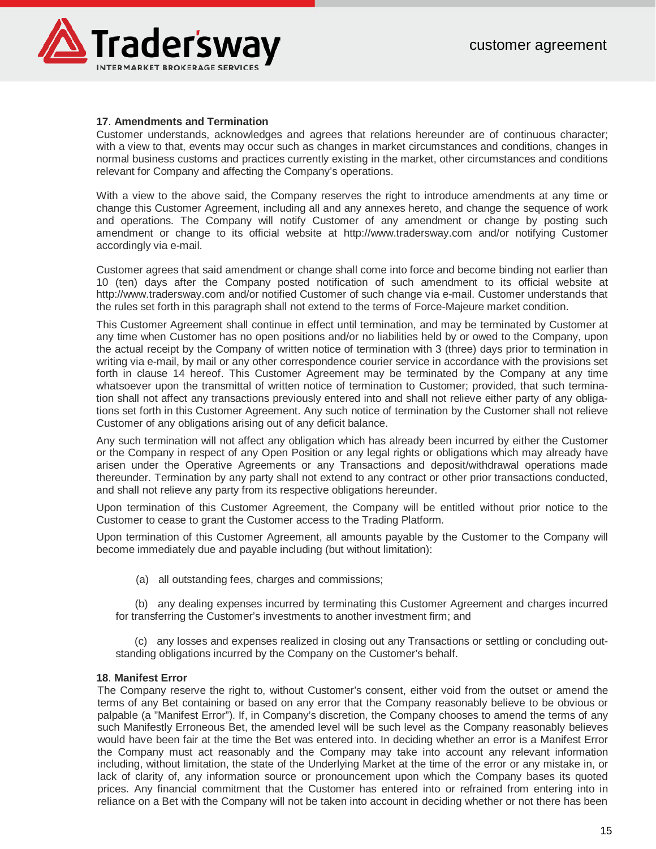

# **17**. **Amendments and Termination**

Customer understands, acknowledges and agrees that relations hereunder are of continuous character; with a view to that, events may occur such as changes in market circumstances and conditions, changes in normal business customs and practices currently existing in the market, other circumstances and conditions relevant for Company and affecting the Company's operations.

With a view to the above said, the Company reserves the right to introduce amendments at any time or change this Customer Agreement, including all and any annexes hereto, and change the sequence of work and operations. The Company will notify Customer of any amendment or change by posting such amendment or change to its official website at http://www.tradersway.com and/or notifying Customer accordingly via e-mail.

Customer agrees that said amendment or change shall come into force and become binding not earlier than 10 (ten) days after the Company posted notification of such amendment to its official website at http://www.tradersway.com and/or notified Customer of such change via e-mail. Customer understands that the rules set forth in this paragraph shall not extend to the terms of Force-Majeure market condition.

This Customer Agreement shall continue in effect until termination, and may be terminated by Customer at any time when Customer has no open positions and/or no liabilities held by or owed to the Company, upon the actual receipt by the Company of written notice of termination with 3 (three) days prior to termination in writing via e-mail, by mail or any other correspondence courier service in accordance with the provisions set forth in clause 14 hereof. This Customer Agreement may be terminated by the Company at any time whatsoever upon the transmittal of written notice of termination to Customer; provided, that such termination shall not affect any transactions previously entered into and shall not relieve either party of any obligations set forth in this Customer Agreement. Any such notice of termination by the Customer shall not relieve Customer of any obligations arising out of any deficit balance.

Any such termination will not affect any obligation which has already been incurred by either the Customer or the Company in respect of any Open Position or any legal rights or obligations which may already have arisen under the Operative Agreements or any Transactions and deposit/withdrawal operations made thereunder. Termination by any party shall not extend to any contract or other prior transactions conducted, and shall not relieve any party from its respective obligations hereunder.

Upon termination of this Customer Agreement, the Company will be entitled without prior notice to the Customer to cease to grant the Customer access to the Trading Platform.

Upon termination of this Customer Agreement, all amounts payable by the Customer to the Company will become immediately due and payable including (but without limitation):

(a) all outstanding fees, charges and commissions;

(b) any dealing expenses incurred by terminating this Customer Agreement and charges incurred for transferring the Customer's investments to another investment firm; and

 (c) any losses and expenses realized in closing out any Transactions or settling or concluding outstanding obligations incurred by the Company on the Customer's behalf.

#### **18**. **Manifest Error**

The Company reserve the right to, without Customer's consent, either void from the outset or amend the terms of any Bet containing or based on any error that the Company reasonably believe to be obvious or palpable (a "Manifest Error"). If, in Company's discretion, the Company chooses to amend the terms of any such Manifestly Erroneous Bet, the amended level will be such level as the Company reasonably believes would have been fair at the time the Bet was entered into. In deciding whether an error is a Manifest Error the Company must act reasonably and the Company may take into account any relevant information including, without limitation, the state of the Underlying Market at the time of the error or any mistake in, or lack of clarity of, any information source or pronouncement upon which the Company bases its quoted prices. Any financial commitment that the Customer has entered into or refrained from entering into in reliance on a Bet with the Company will not be taken into account in deciding whether or not there has been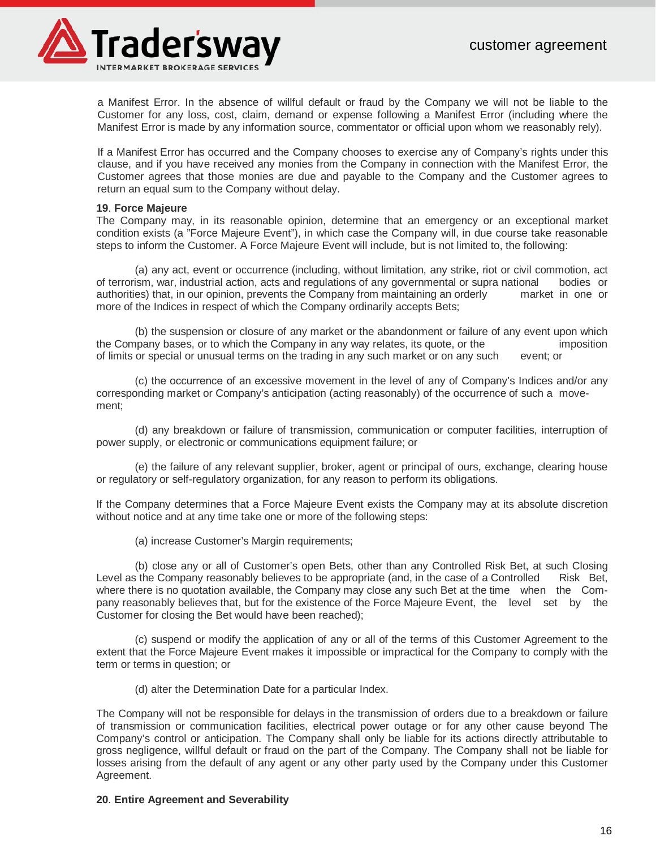

a Manifest Error. In the absence of willful default or fraud by the Company we will not be liable to the Customer for any loss, cost, claim, demand or expense following a Manifest Error (including where the Manifest Error is made by any information source, commentator or official upon whom we reasonably rely).

If a Manifest Error has occurred and the Company chooses to exercise any of Company's rights under this clause, and if you have received any monies from the Company in connection with the Manifest Error, the Customer agrees that those monies are due and payable to the Company and the Customer agrees to return an equal sum to the Company without delay.

#### **19**. **Force Majeure**

The Company may, in its reasonable opinion, determine that an emergency or an exceptional market condition exists (a "Force Majeure Event"), in which case the Company will, in due course take reasonable steps to inform the Customer. A Force Majeure Event will include, but is not limited to, the following:

(a) any act, event or occurrence (including, without limitation, any strike, riot or civil commotion, act of terrorism, war, industrial action, acts and regulations of any governmental or supra national bodies or authorities) that, in our opinion, prevents the Company from maintaining an orderly market in one or more of the Indices in respect of which the Company ordinarily accepts Bets;

(b) the suspension or closure of any market or the abandonment or failure of any event upon which pany bases, or to which the Company in any way relates, its quote, or the imposition the Company bases, or to which the Company in any way relates, its quote, or the of limits or special or unusual terms on the trading in any such market or on any such event; or

(с) the occurrence of an excessive movement in the level of any of Company's Indices and/or any corresponding market or Company's anticipation (acting reasonably) of the occurrence of such a movement;

(d) any breakdown or failure of transmission, communication or computer facilities, interruption of power supply, or electronic or communications equipment failure; or

(e) the failure of any relevant supplier, broker, agent or principal of ours, exchange, clearing house or regulatory or self-regulatory organization, for any reason to perform its obligations.

If the Company determines that a Force Majeure Event exists the Company may at its absolute discretion without notice and at any time take one or more of the following steps:

(a) increase Customer's Margin requirements;

(b) close any or all of Customer's open Bets, other than any Controlled Risk Bet, at such Closing Level as the Company reasonably believes to be appropriate (and, in the case of a Controlled Risk Bet, where there is no quotation available, the Company may close any such Bet at the time when the Company reasonably believes that, but for the existence of the Force Majeure Event, the level set by the Customer for closing the Bet would have been reached);

(c) suspend or modify the application of any or all of the terms of this Customer Agreement to the extent that the Force Majeure Event makes it impossible or impractical for the Company to comply with the term or terms in question; or

(d) alter the Determination Date for a particular Index.

The Company will not be responsible for delays in the transmission of orders due to a breakdown or failure of transmission or communication facilities, electrical power outage or for any other cause beyond The Company's control or anticipation. The Company shall only be liable for its actions directly attributable to gross negligence, willful default or fraud on the part of the Company. The Company shall not be liable for losses arising from the default of any agent or any other party used by the Company under this Customer Agreement.

#### **20**. **Entire Agreement and Severability**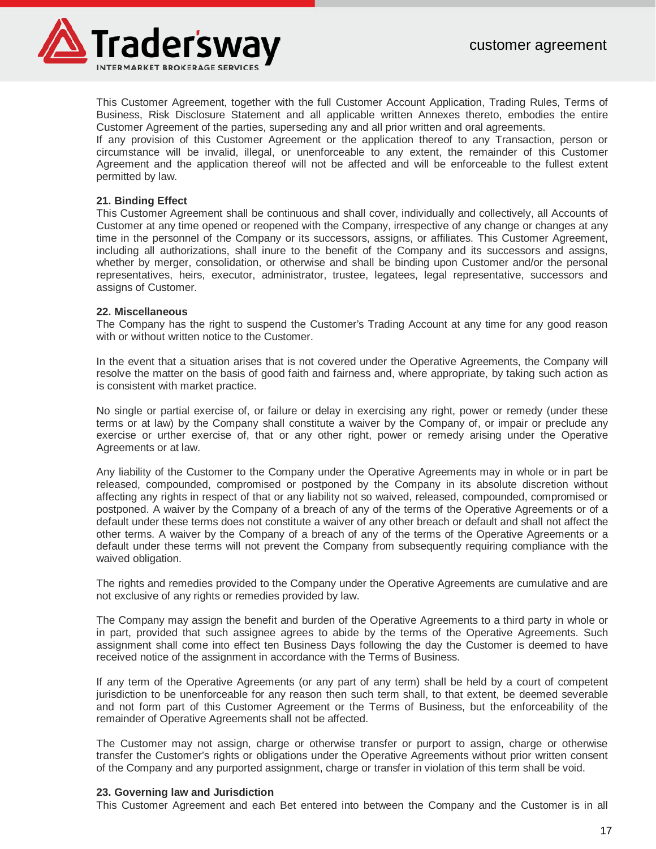

This Customer Agreement, together with the full Customer Account Application, Trading Rules, Terms of Business, Risk Disclosure Statement and all applicable written Annexes thereto, embodies the entire Customer Agreement of the parties, superseding any and all prior written and oral agreements.

If any provision of this Customer Agreement or the application thereof to any Transaction, person or circumstance will be invalid, illegal, or unenforceable to any extent, the remainder of this Customer Agreement and the application thereof will not be affected and will be enforceable to the fullest extent permitted by law.

# **21. Binding Effect**

This Customer Agreement shall be continuous and shall cover, individually and collectively, all Accounts of Customer at any time opened or reopened with the Company, irrespective of any change or changes at any time in the personnel of the Company or its successors, assigns, or affiliates. This Customer Agreement, including all authorizations, shall inure to the benefit of the Company and its successors and assigns, whether by merger, consolidation, or otherwise and shall be binding upon Customer and/or the personal representatives, heirs, executor, administrator, trustee, legatees, legal representative, successors and assigns of Customer.

#### **22. Miscellaneous**

The Company has the right to suspend the Customer's Trading Account at any time for any good reason with or without written notice to the Customer.

In the event that a situation arises that is not covered under the Operative Agreements, the Company will resolve the matter on the basis of good faith and fairness and, where appropriate, by taking such action as is consistent with market practice.

No single or partial exercise of, or failure or delay in exercising any right, power or remedy (under these terms or at law) by the Company shall constitute a waiver by the Company of, or impair or preclude any exercise or urther exercise of, that or any other right, power or remedy arising under the Operative Agreements or at law.

Any liability of the Customer to the Company under the Operative Agreements may in whole or in part be released, compounded, compromised or postponed by the Company in its absolute discretion without affecting any rights in respect of that or any liability not so waived, released, compounded, compromised or postponed. A waiver by the Company of a breach of any of the terms of the Operative Agreements or of a default under these terms does not constitute a waiver of any other breach or default and shall not affect the other terms. A waiver by the Company of a breach of any of the terms of the Operative Agreements or a default under these terms will not prevent the Company from subsequently requiring compliance with the waived obligation.

The rights and remedies provided to the Company under the Operative Agreements are cumulative and are not exclusive of any rights or remedies provided by law.

The Company may assign the benefit and burden of the Operative Agreements to a third party in whole or in part, provided that such assignee agrees to abide by the terms of the Operative Agreements. Such assignment shall come into effect ten Business Days following the day the Customer is deemed to have received notice of the assignment in accordance with the Terms of Business.

If any term of the Operative Agreements (or any part of any term) shall be held by a court of competent jurisdiction to be unenforceable for any reason then such term shall, to that extent, be deemed severable and not form part of this Customer Agreement or the Terms of Business, but the enforceability of the remainder of Operative Agreements shall not be affected.

The Customer may not assign, charge or otherwise transfer or purport to assign, charge or otherwise transfer the Customer's rights or obligations under the Operative Agreements without prior written consent of the Company and any purported assignment, charge or transfer in violation of this term shall be void.

#### **23. Governing law and Jurisdiction**

This Customer Agreement and each Bet entered into between the Company and the Customer is in all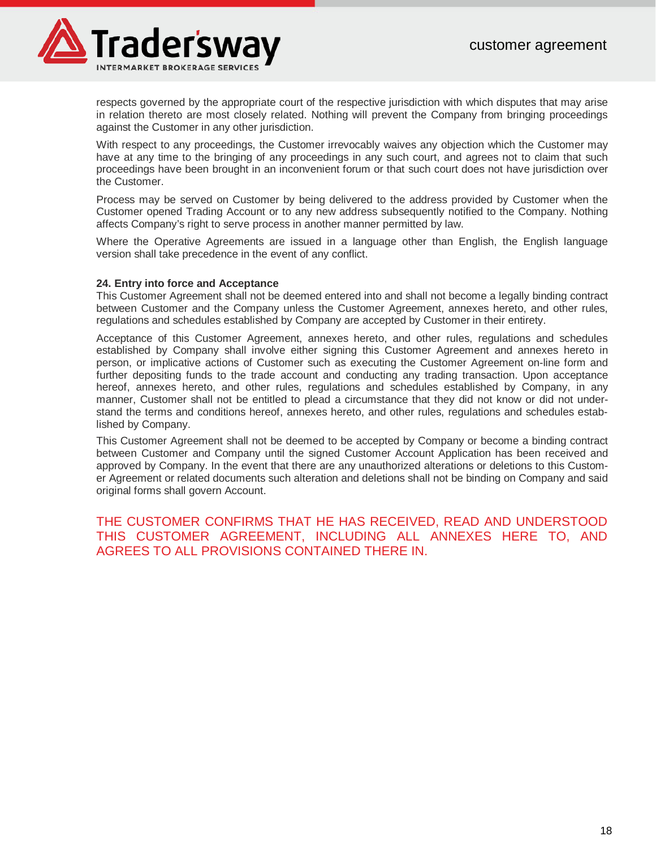

respects governed by the appropriate court of the respective jurisdiction with which disputes that may arise in relation thereto are most closely related. Nothing will prevent the Company from bringing proceedings against the Customer in any other jurisdiction.

With respect to any proceedings, the Customer irrevocably waives any objection which the Customer may have at any time to the bringing of any proceedings in any such court, and agrees not to claim that such proceedings have been brought in an inconvenient forum or that such court does not have jurisdiction over the Customer.

Process may be served on Customer by being delivered to the address provided by Customer when the Customer opened Trading Account or to any new address subsequently notified to the Company. Nothing affects Company's right to serve process in another manner permitted by law.

Where the Operative Agreements are issued in a language other than English, the English language version shall take precedence in the event of any conflict.

#### **24. Entry into force and Acceptance**

This Customer Agreement shall not be deemed entered into and shall not become a legally binding contract between Customer and the Company unless the Customer Agreement, annexes hereto, and other rules, regulations and schedules established by Company are accepted by Customer in their entirety.

Acceptance of this Customer Agreement, annexes hereto, and other rules, regulations and schedules established by Company shall involve either signing this Customer Agreement and annexes hereto in person, or implicative actions of Customer such as executing the Customer Agreement on-line form and further depositing funds to the trade account and conducting any trading transaction. Upon acceptance hereof, annexes hereto, and other rules, regulations and schedules established by Company, in any manner, Customer shall not be entitled to plead a circumstance that they did not know or did not understand the terms and conditions hereof, annexes hereto, and other rules, regulations and schedules established by Company.

This Customer Agreement shall not be deemed to be accepted by Company or become a binding contract between Customer and Company until the signed Customer Account Application has been received and approved by Company. In the event that there are any unauthorized alterations or deletions to this Customer Agreement or related documents such alteration and deletions shall not be binding on Company and said original forms shall govern Account.

THE CUSTOMER CONFIRMS THAT HE HAS RECEIVED, READ AND UNDERSTOOD THIS CUSTOMER AGREEMENT, INCLUDING ALL ANNEXES HERE TO, AND AGREES TO ALL PROVISIONS CONTAINED THERE IN.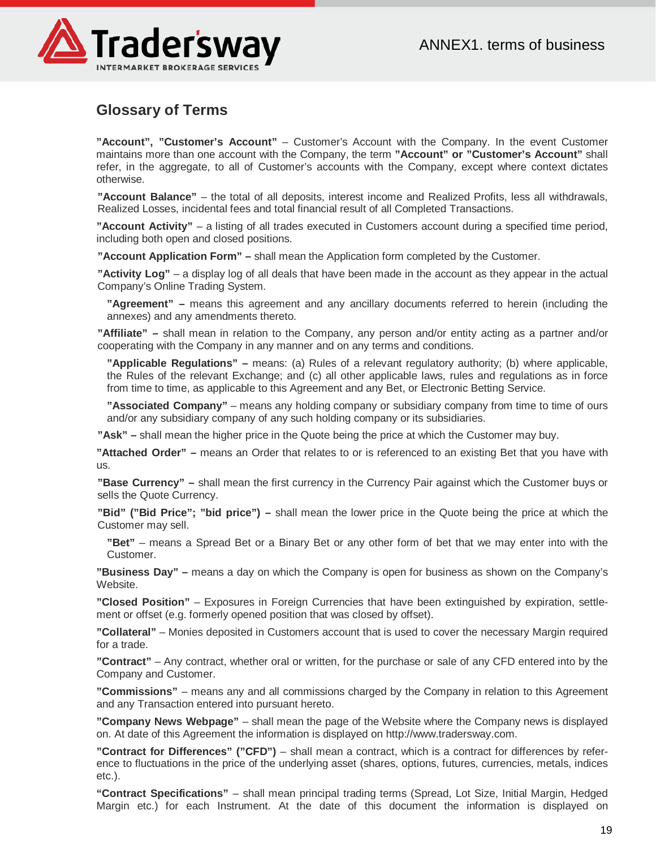

# **Glossary of Terms**

**"Account", "Customer's Account"** – Customer's Account with the Company. In the event Customer maintains more than one account with the Company, the term **"Account" or "Customer's Account"** shall refer, in the aggregate, to all of Customer's accounts with the Company, except where context dictates otherwise.

**"Account Balance"** – the total of all deposits, interest income and Realized Profits, less all withdrawals, Realized Losses, incidental fees and total financial result of all Completed Transactions.

**"Account Activity"** – a listing of all trades executed in Customers account during a specified time period, including both open and closed positions.

**"Account Application Form" –** shall mean the Application form completed by the Customer.

**"Activity Log"** – a display log of all deals that have been made in the account as they appear in the actual Company's Online Trading System.

**"Agreement" –** means this agreement and any ancillary documents referred to herein (including the annexes) and any amendments thereto.

**"Affiliate" –** shall mean in relation to the Company, any person and/or entity acting as a partner and/or cooperating with the Company in any manner and on any terms and conditions.

**"Applicable Regulations" –** means: (a) Rules of a relevant regulatory authority; (b) where applicable, the Rules of the relevant Exchange; and (c) all other applicable laws, rules and regulations as in force from time to time, as applicable to this Agreement and any Bet, or Electronic Betting Service.

**"Associated Company"** – means any holding company or subsidiary company from time to time of ours and/or any subsidiary company of any such holding company or its subsidiaries.

**"Ask" –** shall mean the higher price in the Quote being the price at which the Customer may buy.

**"Attached Order" –** means an Order that relates to or is referenced to an existing Bet that you have with us.

**"Base Currency" –** shall mean the first currency in the Currency Pair against which the Customer buys or sells the Quote Currency.

**"Bid" ("Bid Price"; "bid price") –** shall mean the lower price in the Quote being the price at which the Customer may sell.

**"Bet"** – means a Spread Bet or a Binary Bet or any other form of bet that we may enter into with the Customer.

**"Business Day" –** means a day on which the Company is open for business as shown on the Company's Website.

**"Closed Position"** – Exposures in Foreign Currencies that have been extinguished by expiration, settlement or offset (e.g. formerly opened position that was closed by offset).

**"Collateral"** – Monies deposited in Customers account that is used to cover the necessary Margin required for a trade.

**"Contract"** – Any contract, whether oral or written, for the purchase or sale of any CFD entered into by the Company and Customer.

**"Commissions"** – means any and all commissions charged by the Company in relation to this Agreement and any Transaction entered into pursuant hereto.

**"Company News Webpage"** – shall mean the page of the Website where the Company news is displayed on. At date of this Agreement the information is displayed on http://www.tradersway.com.

**"Contract for Differences" ("CFD")** – shall mean a contract, which is a contract for differences by reference to fluctuations in the price of the underlying asset (shares, options, futures, currencies, metals, indices etc.).

**"Contract Specifications"** – shall mean principal trading terms (Spread, Lot Size, Initial Margin, Hedged Margin etc.) for each Instrument. At the date of this document the information is displayed on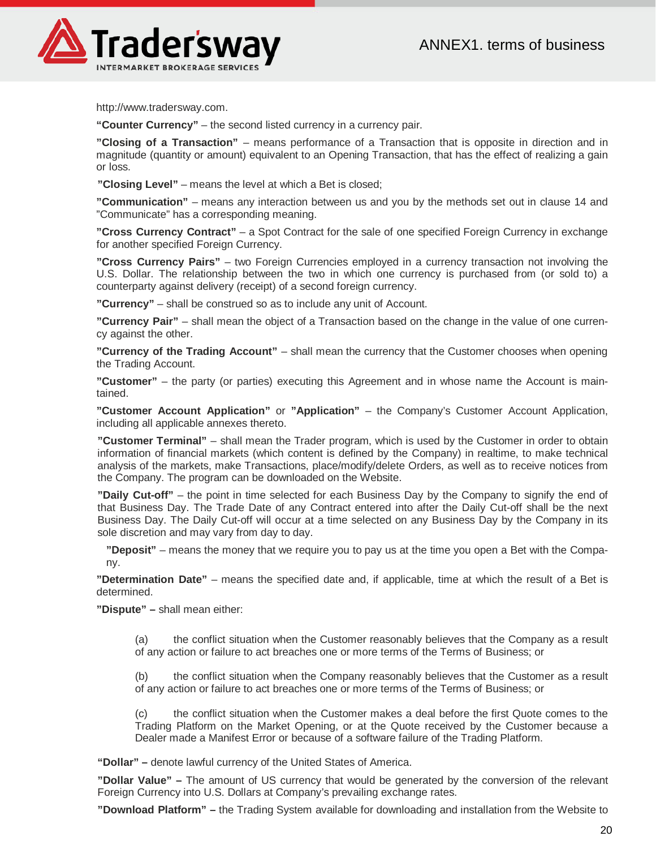

http://www.tradersway.com.

**"Counter Currency"** – the second listed currency in a currency pair.

**"Closing of a Transaction"** – means performance of a Transaction that is opposite in direction and in magnitude (quantity or amount) equivalent to an Opening Transaction, that has the effect of realizing a gain or loss.

**"Closing Level"** – means the level at which a Bet is closed;

**"Communication"** – means any interaction between us and you by the methods set out in clause 14 and "Communicate" has a corresponding meaning.

**"Cross Currency Contract"** – a Spot Contract for the sale of one specified Foreign Currency in exchange for another specified Foreign Currency.

**"Cross Currency Pairs"** – two Foreign Currencies employed in a currency transaction not involving the U.S. Dollar. The relationship between the two in which one currency is purchased from (or sold to) a counterparty against delivery (receipt) of a second foreign currency.

**"Currency"** – shall be construed so as to include any unit of Account.

**"Currency Pair"** – shall mean the object of a Transaction based on the change in the value of one currency against the other.

**"Currency of the Trading Account"** – shall mean the currency that the Customer chooses when opening the Trading Account.

**"Customer"** – the party (or parties) executing this Agreement and in whose name the Account is maintained.

**"Customer Account Application"** or **"Application"** – the Company's Customer Account Application, including all applicable annexes thereto.

**"Customer Terminal"** – shall mean the Trader program, which is used by the Customer in order to obtain information of financial markets (which content is defined by the Company) in realtime, to make technical analysis of the markets, make Transactions, place/modify/delete Orders, as well as to receive notices from the Company. The program can be downloaded on the Website.

**"Daily Cut-off"** – the point in time selected for each Business Day by the Company to signify the end of that Business Day. The Trade Date of any Contract entered into after the Daily Cut-off shall be the next Business Day. The Daily Cut-off will occur at a time selected on any Business Day by the Company in its sole discretion and may vary from day to day.

**"Deposit"** – means the money that we require you to pay us at the time you open a Bet with the Company.

**"Determination Date"** – means the specified date and, if applicable, time at which the result of a Bet is determined.

**"Dispute" –** shall mean either:

(a) the conflict situation when the Customer reasonably believes that the Company as a result of any action or failure to act breaches one or more terms of the Terms of Business; or

(b) the conflict situation when the Company reasonably believes that the Customer as a result of any action or failure to act breaches one or more terms of the Terms of Business; or

(с) the conflict situation when the Customer makes a deal before the first Quote comes to the Trading Platform on the Market Opening, or at the Quote received by the Customer because a Dealer made a Manifest Error or because of a software failure of the Trading Platform.

**"Dollar" –** denote lawful currency of the United States of America.

**"Dollar Value" –** The amount of US currency that would be generated by the conversion of the relevant Foreign Currency into U.S. Dollars at Company's prevailing exchange rates.

**"Download Platform" –** the Trading System available for downloading and installation from the Website to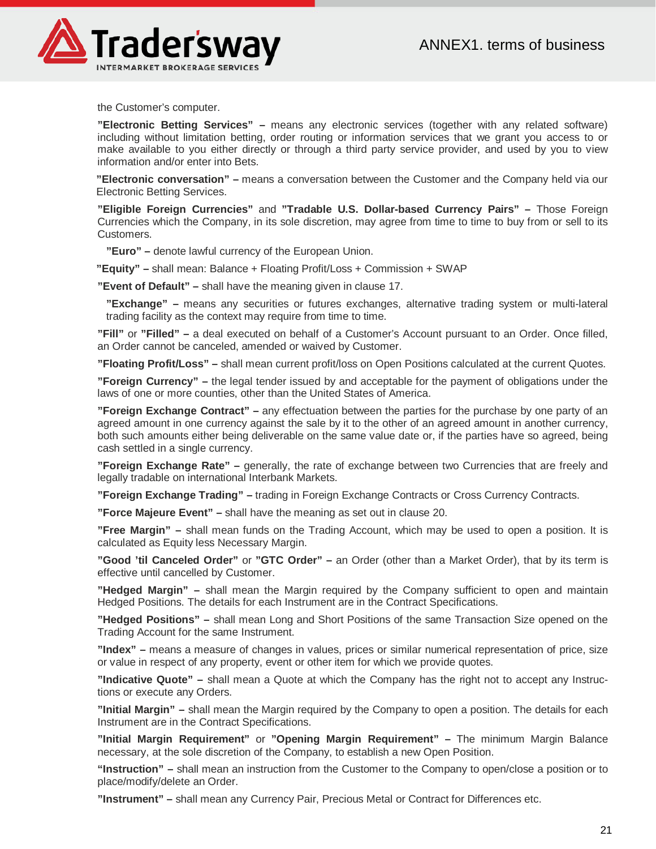

the Customer's computer.

**"Electronic Betting Services" –** means any electronic services (together with any related software) including without limitation betting, order routing or information services that we grant you access to or make available to you either directly or through a third party service provider, and used by you to view information and/or enter into Bets.

**"Electronic conversation" –** means a conversation between the Customer and the Company held via our Electronic Betting Services.

**"Eligible Foreign Currencies"** and **"Tradable U.S. Dollar-based Currency Pairs" –** Those Foreign Currencies which the Company, in its sole discretion, may agree from time to time to buy from or sell to its Customers.

**"Euro" –** denote lawful currency of the European Union.

**"Equity" –** shall mean: Balance + Floating Profit/Loss + Commission + SWAP

**"Event of Default" –** shall have the meaning given in clause 17.

**"Exchange" –** means any securities or futures exchanges, alternative trading system or multi-lateral trading facility as the context may require from time to time.

**"Fill"** or **"Filled" –** a deal executed on behalf of a Customer's Account pursuant to an Order. Once filled, an Order cannot be canceled, amended or waived by Customer.

**"Floating Profit/Loss" –** shall mean current profit/loss on Open Positions calculated at the current Quotes.

**"Foreign Currency" –** the legal tender issued by and acceptable for the payment of obligations under the laws of one or more counties, other than the United States of America.

**"Foreign Exchange Contract" –** any effectuation between the parties for the purchase by one party of an agreed amount in one currency against the sale by it to the other of an agreed amount in another currency, both such amounts either being deliverable on the same value date or, if the parties have so agreed, being cash settled in a single currency.

**"Foreign Exchange Rate" –** generally, the rate of exchange between two Currencies that are freely and legally tradable on international Interbank Markets.

**"Foreign Exchange Trading" –** trading in Foreign Exchange Contracts or Cross Currency Contracts.

**"Force Majeure Event" –** shall have the meaning as set out in clause 20.

**"Free Margin" –** shall mean funds on the Trading Account, which may be used to open a position. It is calculated as Equity less Necessary Margin.

**"Good 'til Canceled Order"** or **"GTC Order" –** an Order (other than a Market Order), that by its term is effective until cancelled by Customer.

**"Hedged Margin" –** shall mean the Margin required by the Company sufficient to open and maintain Hedged Positions. The details for each Instrument are in the Contract Specifications.

**"Hedged Positions" –** shall mean Long and Short Positions of the same Transaction Size opened on the Trading Account for the same Instrument.

**"Index" –** means a measure of changes in values, prices or similar numerical representation of price, size or value in respect of any property, event or other item for which we provide quotes.

**"Indicative Quote" –** shall mean a Quote at which the Company has the right not to accept any Instructions or execute any Orders.

**"Initial Margin" –** shall mean the Margin required by the Company to open a position. The details for each Instrument are in the Contract Specifications.

**"Initial Margin Requirement"** or **"Opening Margin Requirement" –** The minimum Margin Balance necessary, at the sole discretion of the Company, to establish a new Open Position.

**"Instruction" –** shall mean an instruction from the Customer to the Company to open/close a position or to place/modify/delete an Order.

**"Instrument" –** shall mean any Currency Pair, Precious Metal or Contract for Differences etc.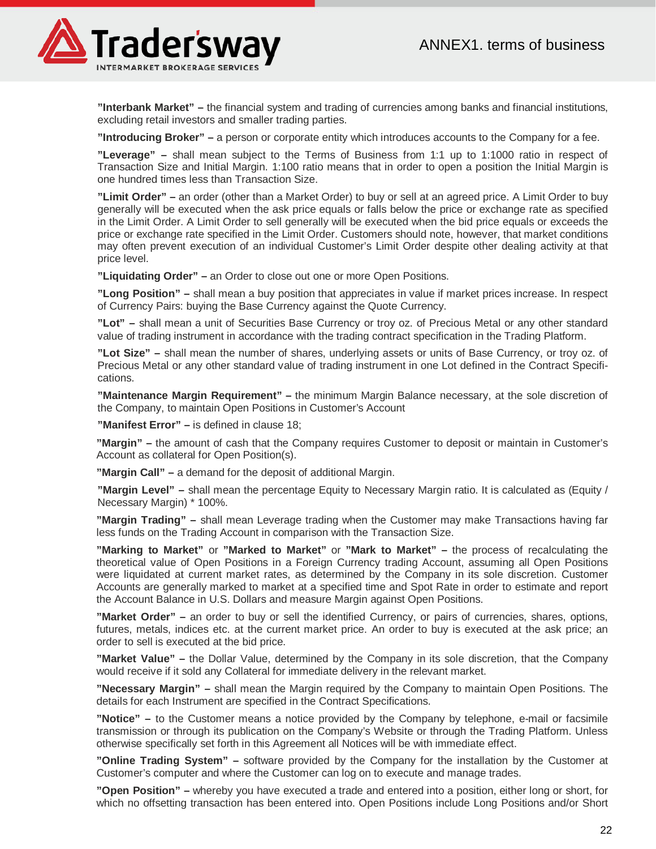

**"Interbank Market" –** the financial system and trading of currencies among banks and financial institutions, excluding retail investors and smaller trading parties.

**"Introducing Broker" –** a person or corporate entity which introduces accounts to the Company for a fee.

**"Leverage" –** shall mean subject to the Terms of Business from 1:1 up to 1:1000 ratio in respect of Transaction Size and Initial Margin. 1:100 ratio means that in order to open a position the Initial Margin is one hundred times less than Transaction Size.

**"Limit Order" –** an order (other than a Market Order) to buy or sell at an agreed price. A Limit Order to buy generally will be executed when the ask price equals or falls below the price or exchange rate as specified in the Limit Order. A Limit Order to sell generally will be executed when the bid price equals or exceeds the price or exchange rate specified in the Limit Order. Customers should note, however, that market conditions may often prevent execution of an individual Customer's Limit Order despite other dealing activity at that price level.

**"Liquidating Order" –** an Order to close out one or more Open Positions.

**"Long Position" –** shall mean a buy position that appreciates in value if market prices increase. In respect of Currency Pairs: buying the Base Currency against the Quote Currency.

**"Lot" –** shall mean a unit of Securities Base Currency or troy oz. of Precious Metal or any other standard value of trading instrument in accordance with the trading contract specification in the Trading Platform.

**"Lot Size" –** shall mean the number of shares, underlying assets or units of Base Currency, or troy oz. of Precious Metal or any other standard value of trading instrument in one Lot defined in the Contract Specifications.

**"Maintenance Margin Requirement" –** the minimum Margin Balance necessary, at the sole discretion of the Company, to maintain Open Positions in Customer's Account

**"Manifest Error" –** is defined in clause 18;

**"Margin" –** the amount of cash that the Company requires Customer to deposit or maintain in Customer's Account as collateral for Open Position(s).

**"Margin Call" –** a demand for the deposit of additional Margin.

**"Margin Level" –** shall mean the percentage Equity to Necessary Margin ratio. It is calculated as (Equity / Necessary Margin) \* 100%.

**"Margin Trading" –** shall mean Leverage trading when the Customer may make Transactions having far less funds on the Trading Account in comparison with the Transaction Size.

**"Marking to Market"** or **"Marked to Market"** or **"Mark to Market" –** the process of recalculating the theoretical value of Open Positions in a Foreign Currency trading Account, assuming all Open Positions were liquidated at current market rates, as determined by the Company in its sole discretion. Customer Accounts are generally marked to market at a specified time and Spot Rate in order to estimate and report the Account Balance in U.S. Dollars and measure Margin against Open Positions.

**"Market Order" –** an order to buy or sell the identified Currency, or pairs of currencies, shares, options, futures, metals, indices etc. at the current market price. An order to buy is executed at the ask price; an order to sell is executed at the bid price.

**"Market Value" –** the Dollar Value, determined by the Company in its sole discretion, that the Company would receive if it sold any Collateral for immediate delivery in the relevant market.

**"Necessary Margin" –** shall mean the Margin required by the Company to maintain Open Positions. The details for each Instrument are specified in the Contract Specifications.

**"Notice" –** to the Customer means a notice provided by the Company by telephone, e-mail or facsimile transmission or through its publication on the Company's Website or through the Trading Platform. Unless otherwise specifically set forth in this Agreement all Notices will be with immediate effect.

**"Online Trading System" –** software provided by the Company for the installation by the Customer at Customer's computer and where the Customer can log on to execute and manage trades.

**"Open Position" –** whereby you have executed a trade and entered into a position, either long or short, for which no offsetting transaction has been entered into. Open Positions include Long Positions and/or Short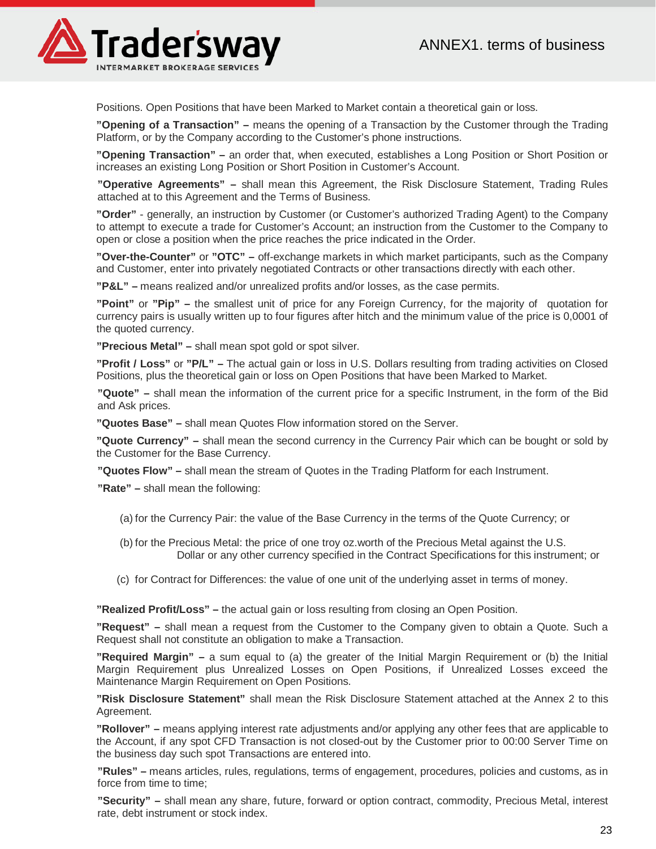

Positions. Open Positions that have been Marked to Market contain a theoretical gain or loss.

**"Opening of a Transaction" –** means the opening of a Transaction by the Customer through the Trading Platform, or by the Company according to the Customer's phone instructions.

**"Opening Transaction" –** an order that, when executed, establishes a Long Position or Short Position or increases an existing Long Position or Short Position in Customer's Account.

**"Operative Agreements" –** shall mean this Agreement, the Risk Disclosure Statement, Trading Rules attached at to this Agreement and the Terms of Business.

**"Order"** - generally, an instruction by Customer (or Customer's authorized Trading Agent) to the Company to attempt to execute a trade for Customer's Account; an instruction from the Customer to the Company to open or close a position when the price reaches the price indicated in the Order.

**"Over-the-Counter"** or **"OTC" –** off-exchange markets in which market participants, such as the Company and Customer, enter into privately negotiated Contracts or other transactions directly with each other.

**"P&L" –** means realized and/or unrealized profits and/or losses, as the case permits.

**"Point"** or **"Pip" –** the smallest unit of price for any Foreign Currency, for the majority of quotation for currency pairs is usually written up to four figures after hitch and the minimum value of the price is 0,0001 of the quoted currency.

**"Precious Metal" –** shall mean spot gold or spot silver.

**"Profit / Loss"** or **"P/L" –** The actual gain or loss in U.S. Dollars resulting from trading activities on Closed Positions, plus the theoretical gain or loss on Open Positions that have been Marked to Market.

**"Quote" –** shall mean the information of the current price for a specific Instrument, in the form of the Bid and Ask prices.

**"Quotes Base" –** shall mean Quotes Flow information stored on the Server.

**"Quote Currency" –** shall mean the second currency in the Currency Pair which can be bought or sold by the Customer for the Base Currency.

**"Quotes Flow" –** shall mean the stream of Quotes in the Trading Platform for each Instrument.

**"Rate" –** shall mean the following:

- (a) for the Currency Pair: the value of the Base Currency in the terms of the Quote Currency; or
- (b) for the Precious Metal: the price of one troy oz.worth of the Precious Metal against the U.S. Dollar or any other currency specified in the Contract Specifications for this instrument; or
- (c) for Contract for Differences: the value of one unit of the underlying asset in terms of money.

**"Realized Profit/Loss" –** the actual gain or loss resulting from closing an Open Position.

**"Request" –** shall mean a request from the Customer to the Company given to obtain a Quote. Such a Request shall not constitute an obligation to make a Transaction.

**"Required Margin" –** a sum equal to (a) the greater of the Initial Margin Requirement or (b) the Initial Margin Requirement plus Unrealized Losses on Open Positions, if Unrealized Losses exceed the Maintenance Margin Requirement on Open Positions.

**"Risk Disclosure Statement"** shall mean the Risk Disclosure Statement attached at the Annex 2 to this Agreement.

**"Rollover" –** means applying interest rate adjustments and/or applying any other fees that are applicable to the Account, if any spot CFD Transaction is not closed-out by the Customer prior to 00:00 Server Time on the business day such spot Transactions are entered into.

**"Rules" –** means articles, rules, regulations, terms of engagement, procedures, policies and customs, as in force from time to time;

**"Security" –** shall mean any share, future, forward or option contract, commodity, Precious Metal, interest rate, debt instrument or stock index.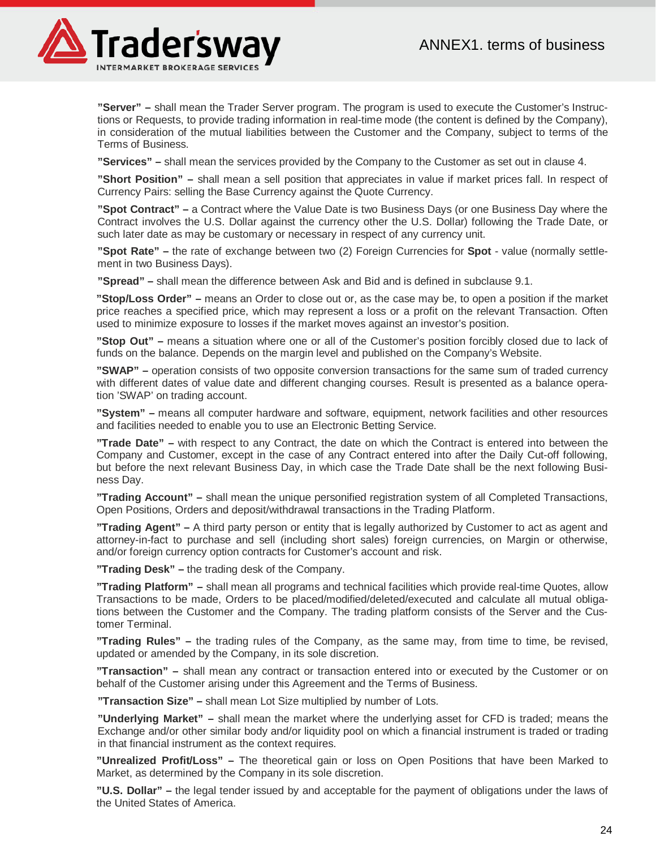

**"Server" –** shall mean the Trader Server program. The program is used to execute the Customer's Instructions or Requests, to provide trading information in real-time mode (the content is defined by the Company), in consideration of the mutual liabilities between the Customer and the Company, subject to terms of the Terms of Business.

**"Services" –** shall mean the services provided by the Company to the Customer as set out in clause 4.

**"Short Position" –** shall mean a sell position that appreciates in value if market prices fall. In respect of Currency Pairs: selling the Base Currency against the Quote Currency.

**"Spot Contract" –** a Contract where the Value Date is two Business Days (or one Business Day where the Contract involves the U.S. Dollar against the currency other the U.S. Dollar) following the Trade Date, or such later date as may be customary or necessary in respect of any currency unit.

**"Spot Rate" –** the rate of exchange between two (2) Foreign Currencies for **Spot** - value (normally settlement in two Business Days).

**"Spread" –** shall mean the difference between Ask and Bid and is defined in subclause 9.1.

**"Stop/Loss Order" –** means an Order to close out or, as the case may be, to open a position if the market price reaches a specified price, which may represent a loss or a profit on the relevant Transaction. Often used to minimize exposure to losses if the market moves against an investor's position.

**"Stop Out" –** means a situation where one or all of the Customer's position forcibly closed due to lack of funds on the balance. Depends on the margin level and published on the Company's Website.

**"SWAP" –** operation consists of two opposite conversion transactions for the same sum of traded currency with different dates of value date and different changing courses. Result is presented as a balance operation 'SWAP' on trading account.

**"System" –** means all computer hardware and software, equipment, network facilities and other resources and facilities needed to enable you to use an Electronic Betting Service.

**"Trade Date" –** with respect to any Contract, the date on which the Contract is entered into between the Company and Customer, except in the case of any Contract entered into after the Daily Cut-off following, but before the next relevant Business Day, in which case the Trade Date shall be the next following Business Day.

**"Trading Account" –** shall mean the unique personified registration system of all Completed Transactions, Open Positions, Orders and deposit/withdrawal transactions in the Trading Platform.

**"Trading Agent" –** A third party person or entity that is legally authorized by Customer to act as agent and attorney-in-fact to purchase and sell (including short sales) foreign currencies, on Margin or otherwise, and/or foreign currency option contracts for Customer's account and risk.

**"Trading Desk" –** the trading desk of the Company.

**"Trading Platform" –** shall mean all programs and technical facilities which provide real-time Quotes, allow Transactions to be made, Orders to be placed/modified/deleted/executed and calculate all mutual obligations between the Customer and the Company. The trading platform consists of the Server and the Customer Terminal.

**"Trading Rules" –** the trading rules of the Company, as the same may, from time to time, be revised, updated or amended by the Company, in its sole discretion.

**"Transaction" –** shall mean any contract or transaction entered into or executed by the Customer or on behalf of the Customer arising under this Agreement and the Terms of Business.

**"Transaction Size" –** shall mean Lot Size multiplied by number of Lots.

**"Underlying Market" –** shall mean the market where the underlying asset for CFD is traded; means the Exchange and/or other similar body and/or liquidity pool on which a financial instrument is traded or trading in that financial instrument as the context requires.

**"Unrealized Profit/Loss" –** The theoretical gain or loss on Open Positions that have been Marked to Market, as determined by the Company in its sole discretion.

**"U.S. Dollar" –** the legal tender issued by and acceptable for the payment of obligations under the laws of the United States of America.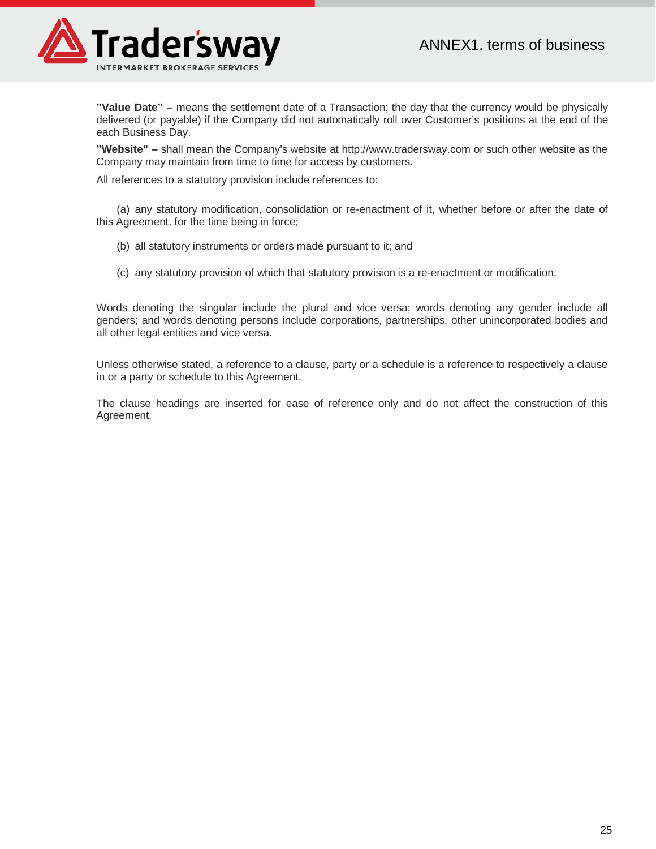

**"Value Date" –** means the settlement date of a Transaction; the day that the currency would be physically delivered (or payable) if the Company did not automatically roll over Customer's positions at the end of the each Business Day.

**"Website" –** shall mean the Company's website at http://www.tradersway.com or such other website as the Company may maintain from time to time for access by customers.

All references to a statutory provision include references to:

(a) any statutory modification, consolidation or re-enactment of it, whether before or after the date of this Agreement, for the time being in force;

- (b) all statutory instruments or orders made pursuant to it; and
- (c) any statutory provision of which that statutory provision is a re-enactment or modification.

Words denoting the singular include the plural and vice versa; words denoting any gender include all genders; and words denoting persons include corporations, partnerships, other unincorporated bodies and all other legal entities and vice versa.

Unless otherwise stated, a reference to a clause, party or a schedule is a reference to respectively a clause in or a party or schedule to this Agreement.

The clause headings are inserted for ease of reference only and do not affect the construction of this Agreement.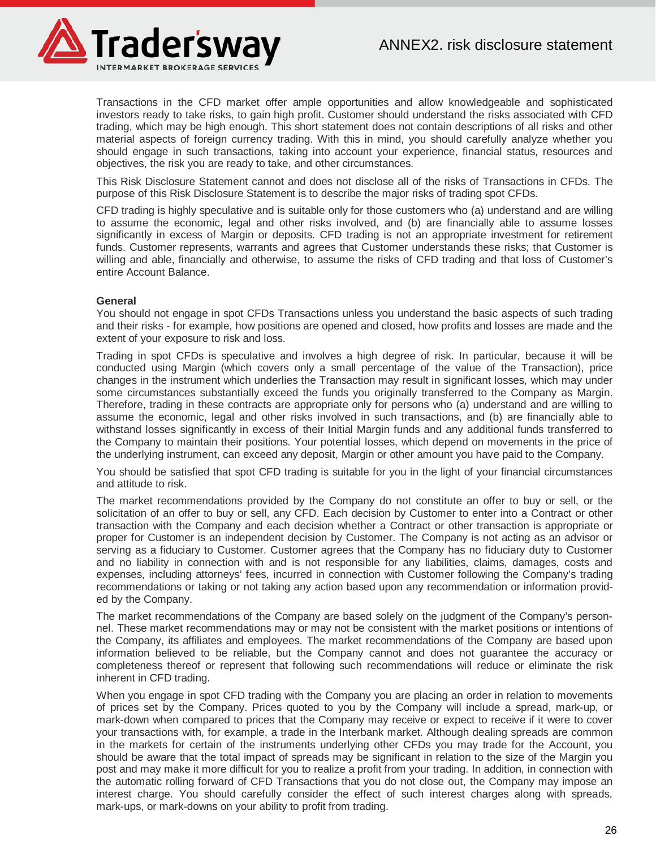

Transactions in the CFD market offer ample opportunities and allow knowledgeable and sophisticated investors ready to take risks, to gain high profit. Customer should understand the risks associated with CFD trading, which may be high enough. This short statement does not contain descriptions of all risks and other material aspects of foreign currency trading. With this in mind, you should carefully analyze whether you should engage in such transactions, taking into account your experience, financial status, resources and objectives, the risk you are ready to take, and other circumstances.

This Risk Disclosure Statement cannot and does not disclose all of the risks of Transactions in CFDs. The purpose of this Risk Disclosure Statement is to describe the major risks of trading spot CFDs.

CFD trading is highly speculative and is suitable only for those customers who (a) understand and are willing to assume the economic, legal and other risks involved, and (b) are financially able to assume losses significantly in excess of Margin or deposits. CFD trading is not an appropriate investment for retirement funds. Customer represents, warrants and agrees that Customer understands these risks; that Customer is willing and able, financially and otherwise, to assume the risks of CFD trading and that loss of Customer's entire Account Balance.

#### **General**

You should not engage in spot CFDs Transactions unless you understand the basic aspects of such trading and their risks - for example, how positions are opened and closed, how profits and losses are made and the extent of your exposure to risk and loss.

Trading in spot CFDs is speculative and involves a high degree of risk. In particular, because it will be conducted using Margin (which covers only a small percentage of the value of the Transaction), price changes in the instrument which underlies the Transaction may result in significant losses, which may under some circumstances substantially exceed the funds you originally transferred to the Company as Margin. Therefore, trading in these contracts are appropriate only for persons who (a) understand and are willing to assume the economic, legal and other risks involved in such transactions, and (b) are financially able to withstand losses significantly in excess of their Initial Margin funds and any additional funds transferred to the Company to maintain their positions. Your potential losses, which depend on movements in the price of the underlying instrument, can exceed any deposit, Margin or other amount you have paid to the Company.

You should be satisfied that spot CFD trading is suitable for you in the light of your financial circumstances and attitude to risk.

The market recommendations provided by the Company do not constitute an offer to buy or sell, or the solicitation of an offer to buy or sell, any CFD. Each decision by Customer to enter into a Contract or other transaction with the Company and each decision whether a Contract or other transaction is appropriate or proper for Customer is an independent decision by Customer. The Company is not acting as an advisor or serving as a fiduciary to Customer. Customer agrees that the Company has no fiduciary duty to Customer and no liability in connection with and is not responsible for any liabilities, claims, damages, costs and expenses, including attorneys' fees, incurred in connection with Customer following the Company's trading recommendations or taking or not taking any action based upon any recommendation or information provided by the Company.

The market recommendations of the Company are based solely on the judgment of the Company's personnel. These market recommendations may or may not be consistent with the market positions or intentions of the Company, its affiliates and employees. The market recommendations of the Company are based upon information believed to be reliable, but the Company cannot and does not guarantee the accuracy or completeness thereof or represent that following such recommendations will reduce or eliminate the risk inherent in CFD trading.

When you engage in spot CFD trading with the Company you are placing an order in relation to movements of prices set by the Company. Prices quoted to you by the Company will include a spread, mark-up, or mark-down when compared to prices that the Company may receive or expect to receive if it were to cover your transactions with, for example, a trade in the Interbank market. Although dealing spreads are common in the markets for certain of the instruments underlying other CFDs you may trade for the Account, you should be aware that the total impact of spreads may be significant in relation to the size of the Margin you post and may make it more difficult for you to realize a profit from your trading. In addition, in connection with the automatic rolling forward of CFD Transactions that you do not close out, the Company may impose an interest charge. You should carefully consider the effect of such interest charges along with spreads, mark-ups, or mark-downs on your ability to profit from trading.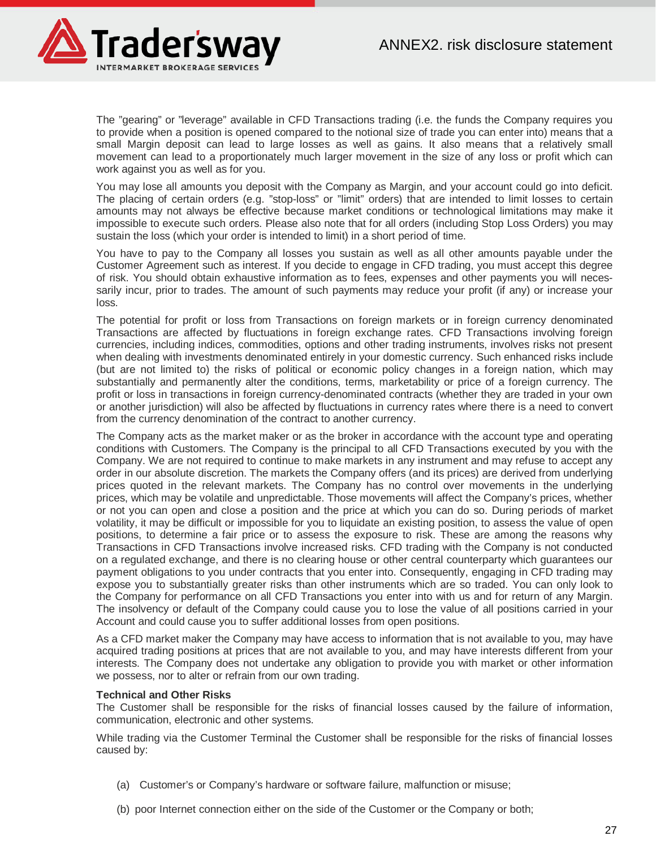

The "gearing" or "leverage" available in CFD Transactions trading (i.e. the funds the Company requires you to provide when a position is opened compared to the notional size of trade you can enter into) means that a small Margin deposit can lead to large losses as well as gains. It also means that a relatively small movement can lead to a proportionately much larger movement in the size of any loss or profit which can work against you as well as for you.

You may lose all amounts you deposit with the Company as Margin, and your account could go into deficit. The placing of certain orders (e.g. "stop-loss" or "limit" orders) that are intended to limit losses to certain amounts may not always be effective because market conditions or technological limitations may make it impossible to execute such orders. Please also note that for all orders (including Stop Loss Orders) you may sustain the loss (which your order is intended to limit) in a short period of time.

You have to pay to the Company all losses you sustain as well as all other amounts payable under the Customer Agreement such as interest. If you decide to engage in CFD trading, you must accept this degree of risk. You should obtain exhaustive information as to fees, expenses and other payments you will necessarily incur, prior to trades. The amount of such payments may reduce your profit (if any) or increase your loss.

The potential for profit or loss from Transactions on foreign markets or in foreign currency denominated Transactions are affected by fluctuations in foreign exchange rates. CFD Transactions involving foreign currencies, including indices, commodities, options and other trading instruments, involves risks not present when dealing with investments denominated entirely in your domestic currency. Such enhanced risks include (but are not limited to) the risks of political or economic policy changes in a foreign nation, which may substantially and permanently alter the conditions, terms, marketability or price of a foreign currency. The profit or loss in transactions in foreign currency-denominated contracts (whether they are traded in your own or another jurisdiction) will also be affected by fluctuations in currency rates where there is a need to convert from the currency denomination of the contract to another currency.

The Company acts as the market maker or as the broker in accordance with the account type and operating conditions with Customers. The Company is the principal to all CFD Transactions executed by you with the Company. We are not required to continue to make markets in any instrument and may refuse to accept any order in our absolute discretion. The markets the Company offers (and its prices) are derived from underlying prices quoted in the relevant markets. The Company has no control over movements in the underlying prices, which may be volatile and unpredictable. Those movements will affect the Company's prices, whether or not you can open and close a position and the price at which you can do so. During periods of market volatility, it may be difficult or impossible for you to liquidate an existing position, to assess the value of open positions, to determine a fair price or to assess the exposure to risk. These are among the reasons why Transactions in CFD Transactions involve increased risks. CFD trading with the Company is not conducted on a regulated exchange, and there is no clearing house or other central counterparty which guarantees our payment obligations to you under contracts that you enter into. Consequently, engaging in CFD trading may expose you to substantially greater risks than other instruments which are so traded. You can only look to the Company for performance on all CFD Transactions you enter into with us and for return of any Margin. The insolvency or default of the Company could cause you to lose the value of all positions carried in your Account and could cause you to suffer additional losses from open positions.

As a CFD market maker the Company may have access to information that is not available to you, may have acquired trading positions at prices that are not available to you, and may have interests different from your interests. The Company does not undertake any obligation to provide you with market or other information we possess, nor to alter or refrain from our own trading.

#### **Technical and Other Risks**

The Customer shall be responsible for the risks of financial losses caused by the failure of information, communication, electronic and other systems.

While trading via the Customer Terminal the Customer shall be responsible for the risks of financial losses caused by:

- (a) Customer's or Company's hardware or software failure, malfunction or misuse;
- (b) poor Internet connection either on the side of the Customer or the Company or both;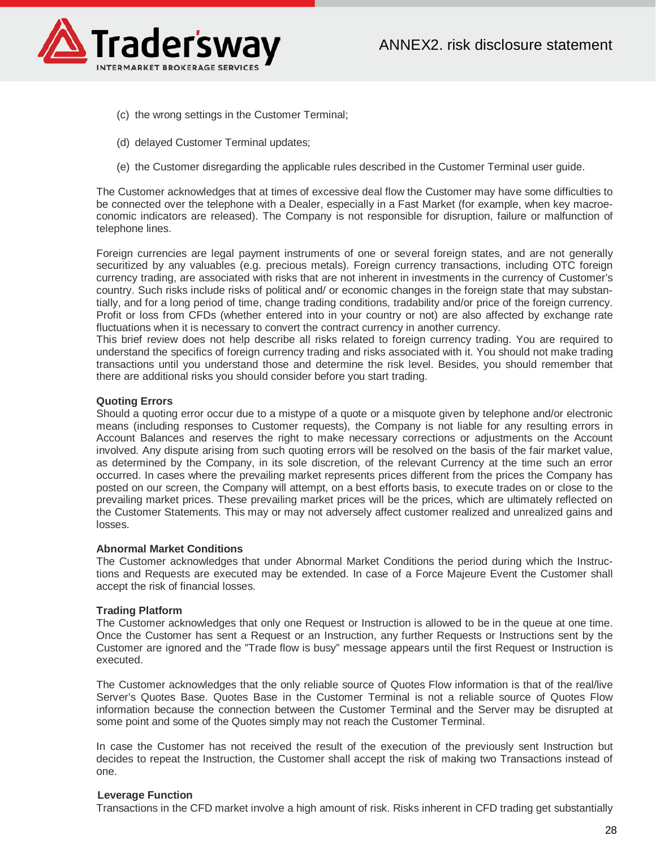

- (c) the wrong settings in the Customer Terminal;
- (d) delayed Customer Terminal updates;
- (e) the Customer disregarding the applicable rules described in the Customer Terminal user guide.

The Customer acknowledges that at times of excessive deal flow the Customer may have some difficulties to be connected over the telephone with a Dealer, especially in a Fast Market (for example, when key macroeconomic indicators are released). The Company is not responsible for disruption, failure or malfunction of telephone lines.

Foreign currencies are legal payment instruments of one or several foreign states, and are not generally securitized by any valuables (e.g. precious metals). Foreign currency transactions, including OTC foreign currency trading, are associated with risks that are not inherent in investments in the currency of Customer's country. Such risks include risks of political and/ or economic changes in the foreign state that may substantially, and for a long period of time, change trading conditions, tradability and/or price of the foreign currency. Profit or loss from CFDs (whether entered into in your country or not) are also affected by exchange rate fluctuations when it is necessary to convert the contract currency in another currency.

This brief review does not help describe all risks related to foreign currency trading. You are required to understand the specifics of foreign currency trading and risks associated with it. You should not make trading transactions until you understand those and determine the risk level. Besides, you should remember that there are additional risks you should consider before you start trading.

# **Quoting Errors**

Should a quoting error occur due to a mistype of a quote or a misquote given by telephone and/or electronic means (including responses to Customer requests), the Company is not liable for any resulting errors in Account Balances and reserves the right to make necessary corrections or adjustments on the Account involved. Any dispute arising from such quoting errors will be resolved on the basis of the fair market value, as determined by the Company, in its sole discretion, of the relevant Currency at the time such an error occurred. In cases where the prevailing market represents prices different from the prices the Company has posted on our screen, the Company will attempt, on a best efforts basis, to execute trades on or close to the prevailing market prices. These prevailing market prices will be the prices, which are ultimately reflected on the Customer Statements. This may or may not adversely affect customer realized and unrealized gains and losses.

#### **Abnormal Market Conditions**

The Customer acknowledges that under Abnormal Market Conditions the period during which the Instructions and Requests are executed may be extended. In case of a Force Majeure Event the Customer shall accept the risk of financial losses.

#### **Trading Platform**

The Customer acknowledges that only one Request or Instruction is allowed to be in the queue at one time. Once the Customer has sent a Request or an Instruction, any further Requests or Instructions sent by the Customer are ignored and the "Trade flow is busy" message appears until the first Request or Instruction is executed.

The Customer acknowledges that the only reliable source of Quotes Flow information is that of the real/live Server's Quotes Base. Quotes Base in the Customer Terminal is not a reliable source of Quotes Flow information because the connection between the Customer Terminal and the Server may be disrupted at some point and some of the Quotes simply may not reach the Customer Terminal.

In case the Customer has not received the result of the execution of the previously sent Instruction but decides to repeat the Instruction, the Customer shall accept the risk of making two Transactions instead of one.

#### **Leverage Function**

Transactions in the CFD market involve a high amount of risk. Risks inherent in CFD trading get substantially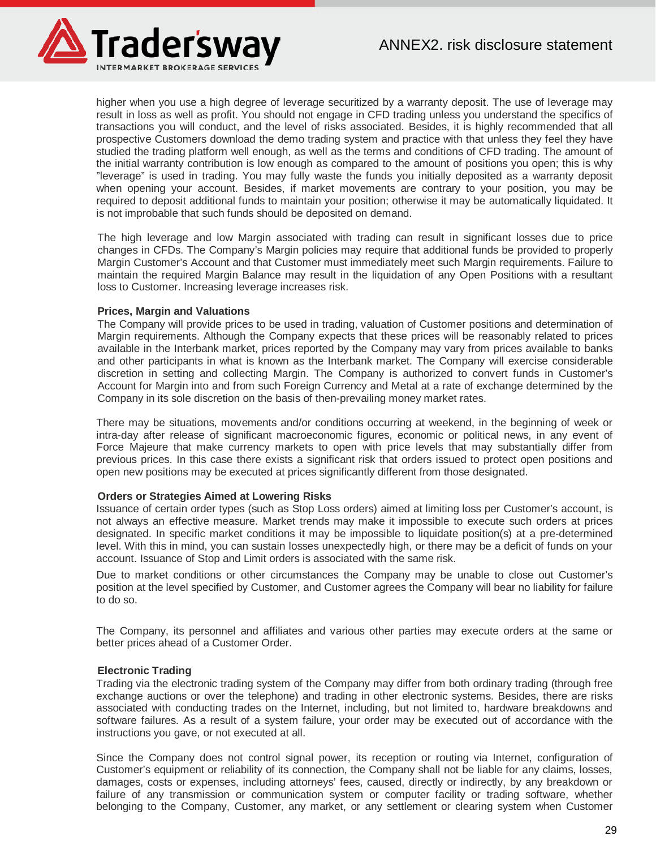

higher when you use a high degree of leverage securitized by a warranty deposit. The use of leverage may result in loss as well as profit. You should not engage in CFD trading unless you understand the specifics of transactions you will conduct, and the level of risks associated. Besides, it is highly recommended that all prospective Customers download the demo trading system and practice with that unless they feel they have studied the trading platform well enough, as well as the terms and conditions of CFD trading. The amount of the initial warranty contribution is low enough as compared to the amount of positions you open; this is why "leverage" is used in trading. You may fully waste the funds you initially deposited as a warranty deposit when opening your account. Besides, if market movements are contrary to your position, you may be required to deposit additional funds to maintain your position; otherwise it may be automatically liquidated. It is not improbable that such funds should be deposited on demand.

The high leverage and low Margin associated with trading can result in significant losses due to price changes in CFDs. The Company's Margin policies may require that additional funds be provided to properly Margin Customer's Account and that Customer must immediately meet such Margin requirements. Failure to maintain the required Margin Balance may result in the liquidation of any Open Positions with a resultant loss to Customer. Increasing leverage increases risk.

#### **Prices, Margin and Valuations**

The Company will provide prices to be used in trading, valuation of Customer positions and determination of Margin requirements. Although the Company expects that these prices will be reasonably related to prices available in the Interbank market, prices reported by the Company may vary from prices available to banks and other participants in what is known as the Interbank market. The Company will exercise considerable discretion in setting and collecting Margin. The Company is authorized to convert funds in Customer's Account for Margin into and from such Foreign Currency and Metal at a rate of exchange determined by the Company in its sole discretion on the basis of then-prevailing money market rates.

There may be situations, movements and/or conditions occurring at weekend, in the beginning of week or intra-day after release of significant macroeconomic figures, economic or political news, in any event of Force Majeure that make currency markets to open with price levels that may substantially differ from previous prices. In this case there exists a significant risk that orders issued to protect open positions and open new positions may be executed at prices significantly different from those designated.

#### **Orders or Strategies Aimed at Lowering Risks**

Issuance of certain order types (such as Stop Loss orders) aimed at limiting loss per Customer's account, is not always an effective measure. Market trends may make it impossible to execute such orders at prices designated. In specific market conditions it may be impossible to liquidate position(s) at a pre-determined level. With this in mind, you can sustain losses unexpectedly high, or there may be a deficit of funds on your account. Issuance of Stop and Limit orders is associated with the same risk.

Due to market conditions or other circumstances the Company may be unable to close out Customer's position at the level specified by Customer, and Customer agrees the Company will bear no liability for failure to do so.

The Company, its personnel and affiliates and various other parties may execute orders at the same or better prices ahead of a Customer Order.

#### **Electronic Trading**

Trading via the electronic trading system of the Company may differ from both ordinary trading (through free exchange auctions or over the telephone) and trading in other electronic systems. Besides, there are risks associated with conducting trades on the Internet, including, but not limited to, hardware breakdowns and software failures. As a result of a system failure, your order may be executed out of accordance with the instructions you gave, or not executed at all.

Since the Company does not control signal power, its reception or routing via Internet, configuration of Customer's equipment or reliability of its connection, the Company shall not be liable for any claims, losses, damages, costs or expenses, including attorneys' fees, caused, directly or indirectly, by any breakdown or failure of any transmission or communication system or computer facility or trading software, whether belonging to the Company, Customer, any market, or any settlement or clearing system when Customer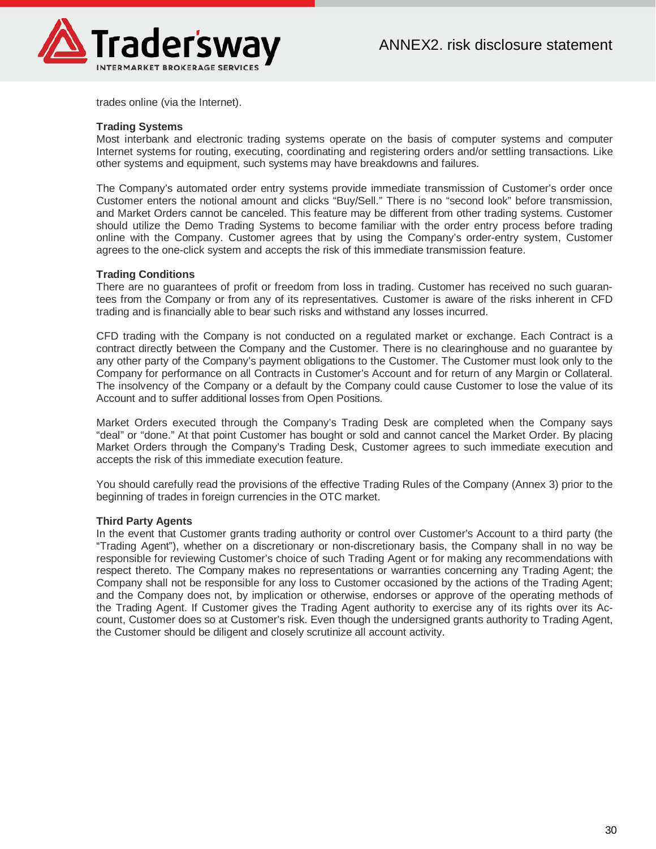

trades online (via the Internet).

#### **Trading Systems**

Most interbank and electronic trading systems operate on the basis of computer systems and computer Internet systems for routing, executing, coordinating and registering orders and/or settling transactions. Like other systems and equipment, such systems may have breakdowns and failures.

The Company's automated order entry systems provide immediate transmission of Customer's order once Customer enters the notional amount and clicks "Buy/Sell." There is no "second look" before transmission, and Market Orders cannot be canceled. This feature may be different from other trading systems. Customer should utilize the Demo Trading Systems to become familiar with the order entry process before trading online with the Company. Customer agrees that by using the Company's order-entry system, Customer agrees to the one-click system and accepts the risk of this immediate transmission feature.

#### **Trading Conditions**

There are no guarantees of profit or freedom from loss in trading. Customer has received no such guarantees from the Company or from any of its representatives. Customer is aware of the risks inherent in CFD trading and is financially able to bear such risks and withstand any losses incurred.

CFD trading with the Company is not conducted on a regulated market or exchange. Each Contract is a contract directly between the Company and the Customer. There is no clearinghouse and no guarantee by any other party of the Company's payment obligations to the Customer. The Customer must look only to the Company for performance on all Contracts in Customer's Account and for return of any Margin or Collateral. The insolvency of the Company or a default by the Company could cause Customer to lose the value of its Account and to suffer additional losses from Open Positions.

Market Orders executed through the Company's Trading Desk are completed when the Company says "deal" or "done." At that point Customer has bought or sold and cannot cancel the Market Order. By placing Market Orders through the Company's Trading Desk, Customer agrees to such immediate execution and accepts the risk of this immediate execution feature.

You should carefully read the provisions of the effective Trading Rules of the Company (Annex 3) prior to the beginning of trades in foreign currencies in the OTC market.

#### **Third Party Agents**

In the event that Customer grants trading authority or control over Customer's Account to a third party (the "Trading Agent"), whether on a discretionary or non-discretionary basis, the Company shall in no way be responsible for reviewing Customer's choice of such Trading Agent or for making any recommendations with respect thereto. The Company makes no representations or warranties concerning any Trading Agent; the Company shall not be responsible for any loss to Customer occasioned by the actions of the Trading Agent; and the Company does not, by implication or otherwise, endorses or approve of the operating methods of the Trading Agent. If Customer gives the Trading Agent authority to exercise any of its rights over its Account, Customer does so at Customer's risk. Even though the undersigned grants authority to Trading Agent, the Customer should be diligent and closely scrutinize all account activity.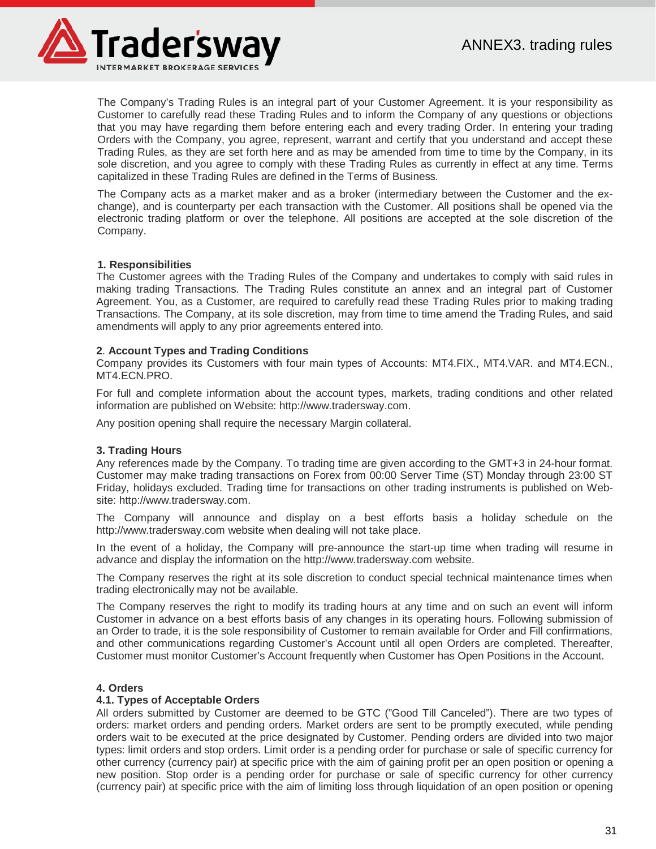

The Company's Trading Rules is an integral part of your Customer Agreement. It is your responsibility as Customer to carefully read these Trading Rules and to inform the Company of any questions or objections that you may have regarding them before entering each and every trading Order. In entering your trading Orders with the Company, you agree, represent, warrant and certify that you understand and accept these Trading Rules, as they are set forth here and as may be amended from time to time by the Company, in its sole discretion, and you agree to comply with these Trading Rules as currently in effect at any time. Terms capitalized in these Trading Rules are defined in the Terms of Business.

The Company acts as a market maker and as a broker (intermediary between the Customer and the exchange), and is counterparty per each transaction with the Customer. All positions shall be opened via the electronic trading platform or over the telephone. All positions are accepted at the sole discretion of the Company.

# **1. Responsibilities**

The Customer agrees with the Trading Rules of the Company and undertakes to comply with said rules in making trading Transactions. The Trading Rules constitute an annex and an integral part of Customer Agreement. You, as a Customer, are required to carefully read these Trading Rules prior to making trading Transactions. The Company, at its sole discretion, may from time to time amend the Trading Rules, and said amendments will apply to any prior agreements entered into.

# **2**. **Account Types and Trading Conditions**

Company provides its Customers with four main types of Accounts: MT4.FIX., MT4.VAR. and MT4.ECN., MT4.ECN.PRO.

For full and complete information about the account types, markets, trading conditions and other related information are published on Website: http://www.tradersway.com.

Any position opening shall require the necessary Margin collateral.

#### **3. Trading Hours**

Any references made by the Company. To trading time are given according to the GMT+3 in 24-hour format. Customer may make trading transactions on Forex from 00:00 Server Time (ST) Monday through 23:00 ST Friday, holidays excluded. Trading time for transactions on other trading instruments is published on Website: http://www.tradersway.com.

The Company will announce and display on a best efforts basis a holiday schedule on the http://www.tradersway.com website when dealing will not take place.

In the event of a holiday, the Company will pre-announce the start-up time when trading will resume in advance and display the information on the http://www.tradersway.com website.

The Company reserves the right at its sole discretion to conduct special technical maintenance times when trading electronically may not be available.

The Company reserves the right to modify its trading hours at any time and on such an event will inform Customer in advance on a best efforts basis of any changes in its operating hours. Following submission of an Order to trade, it is the sole responsibility of Customer to remain available for Order and Fill confirmations, and other communications regarding Customer's Account until all open Orders are completed. Thereafter, Customer must monitor Customer's Account frequently when Customer has Open Positions in the Account.

#### **4. Orders**

#### **4.1. Types of Acceptable Orders**

All orders submitted by Customer are deemed to be GTC ("Good Till Canceled"). There are two types of orders: market orders and pending orders. Market orders are sent to be promptly executed, while pending orders wait to be executed at the price designated by Customer. Pending orders are divided into two major types: limit orders and stop orders. Limit order is a pending order for purchase or sale of specific currency for other currency (currency pair) at specific price with the aim of gaining profit per an open position or opening a new position. Stop order is a pending order for purchase or sale of specific currency for other currency (currency pair) at specific price with the aim of limiting loss through liquidation of an open position or opening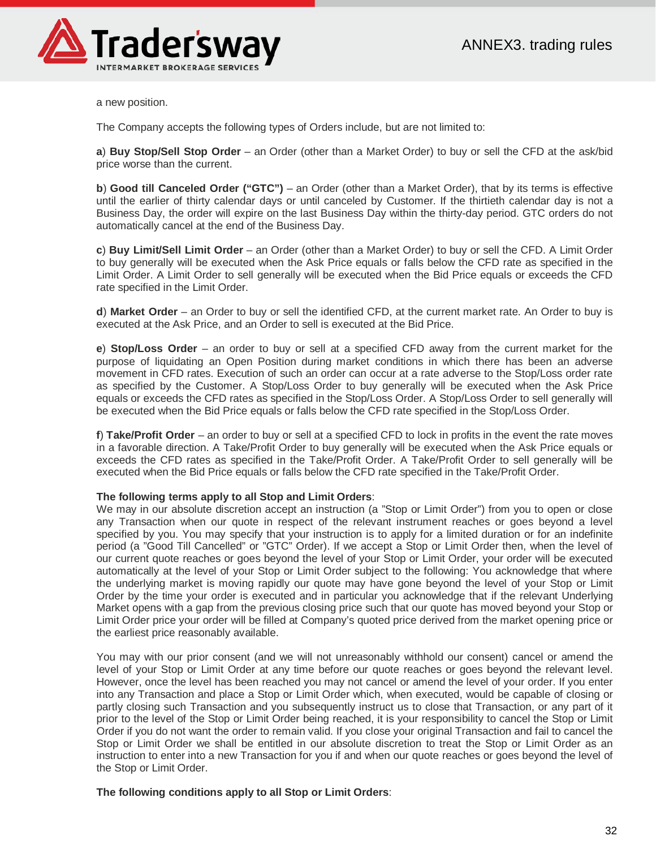

a new position.

The Company accepts the following types of Orders include, but are not limited to:

**a**) **Buy Stop/Sell Stop Order** – an Order (other than a Market Order) to buy or sell the CFD at the ask/bid price worse than the current.

**b**) **Good till Canceled Order ("GTC")** – an Order (other than a Market Order), that by its terms is effective until the earlier of thirty calendar days or until canceled by Customer. If the thirtieth calendar day is not a Business Day, the order will expire on the last Business Day within the thirty-day period. GTC orders do not automatically cancel at the end of the Business Day.

**c**) **Buy Limit/Sell Limit Order** – an Order (other than a Market Order) to buy or sell the CFD. A Limit Order to buy generally will be executed when the Ask Price equals or falls below the CFD rate as specified in the Limit Order. A Limit Order to sell generally will be executed when the Bid Price equals or exceeds the CFD rate specified in the Limit Order.

**d**) **Market Order** – an Order to buy or sell the identified CFD, at the current market rate. An Order to buy is executed at the Ask Price, and an Order to sell is executed at the Bid Price.

**e**) **Stop/Loss Order** – an order to buy or sell at a specified CFD away from the current market for the purpose of liquidating an Open Position during market conditions in which there has been an adverse movement in CFD rates. Execution of such an order can occur at a rate adverse to the Stop/Loss order rate as specified by the Customer. A Stop/Loss Order to buy generally will be executed when the Ask Price equals or exceeds the CFD rates as specified in the Stop/Loss Order. A Stop/Loss Order to sell generally will be executed when the Bid Price equals or falls below the CFD rate specified in the Stop/Loss Order.

**f**) **Take/Profit Order** – an order to buy or sell at a specified CFD to lock in profits in the event the rate moves in a favorable direction. A Take/Profit Order to buy generally will be executed when the Ask Price equals or exceeds the CFD rates as specified in the Take/Profit Order. A Take/Profit Order to sell generally will be executed when the Bid Price equals or falls below the CFD rate specified in the Take/Profit Order.

#### **The following terms apply to all Stop and Limit Orders**:

We may in our absolute discretion accept an instruction (a "Stop or Limit Order") from you to open or close any Transaction when our quote in respect of the relevant instrument reaches or goes beyond a level specified by you. You may specify that your instruction is to apply for a limited duration or for an indefinite period (a "Good Till Cancelled" or "GTC" Order). If we accept a Stop or Limit Order then, when the level of our current quote reaches or goes beyond the level of your Stop or Limit Order, your order will be executed automatically at the level of your Stop or Limit Order subject to the following: You acknowledge that where the underlying market is moving rapidly our quote may have gone beyond the level of your Stop or Limit Order by the time your order is executed and in particular you acknowledge that if the relevant Underlying Market opens with a gap from the previous closing price such that our quote has moved beyond your Stop or Limit Order price your order will be filled at Company's quoted price derived from the market opening price or the earliest price reasonably available.

You may with our prior consent (and we will not unreasonably withhold our consent) cancel or amend the level of your Stop or Limit Order at any time before our quote reaches or goes beyond the relevant level. However, once the level has been reached you may not cancel or amend the level of your order. If you enter into any Transaction and place a Stop or Limit Order which, when executed, would be capable of closing or partly closing such Transaction and you subsequently instruct us to close that Transaction, or any part of it prior to the level of the Stop or Limit Order being reached, it is your responsibility to cancel the Stop or Limit Order if you do not want the order to remain valid. If you close your original Transaction and fail to cancel the Stop or Limit Order we shall be entitled in our absolute discretion to treat the Stop or Limit Order as an instruction to enter into a new Transaction for you if and when our quote reaches or goes beyond the level of the Stop or Limit Order.

**The following conditions apply to all Stop or Limit Orders**: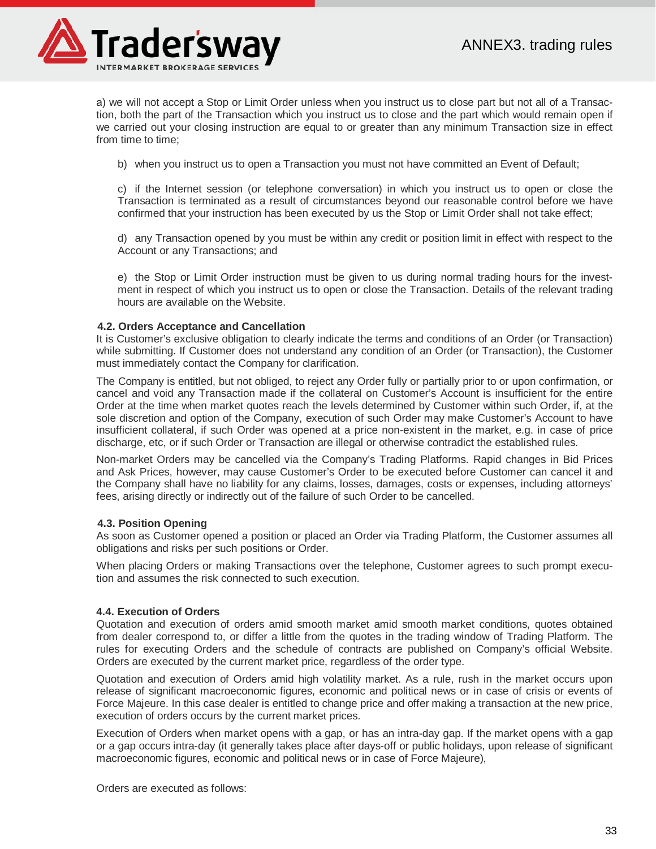

а) we will not accept a Stop or Limit Order unless when you instruct us to close part but not all of a Transaction, both the part of the Transaction which you instruct us to close and the part which would remain open if we carried out your closing instruction are equal to or greater than any minimum Transaction size in effect from time to time;

b) when you instruct us to open a Transaction you must not have committed an Event of Default;

c) if the Internet session (or telephone conversation) in which you instruct us to open or close the Transaction is terminated as a result of circumstances beyond our reasonable control before we have confirmed that your instruction has been executed by us the Stop or Limit Order shall not take effect;

d) any Transaction opened by you must be within any credit or position limit in effect with respect to the Account or any Transactions; and

e) the Stop or Limit Order instruction must be given to us during normal trading hours for the investment in respect of which you instruct us to open or close the Transaction. Details of the relevant trading hours are available on the Website.

# **4.2. Orders Acceptance and Cancellation**

It is Customer's exclusive obligation to clearly indicate the terms and conditions of an Order (or Transaction) while submitting. If Customer does not understand any condition of an Order (or Transaction), the Customer must immediately contact the Company for clarification.

The Company is entitled, but not obliged, to reject any Order fully or partially prior to or upon confirmation, or cancel and void any Transaction made if the collateral on Customer's Account is insufficient for the entire Order at the time when market quotes reach the levels determined by Customer within such Order, if, at the sole discretion and option of the Company, execution of such Order may make Customer's Account to have insufficient collateral, if such Order was opened at a price non-existent in the market, e.g. in case of price discharge, etc, or if such Order or Transaction are illegal or otherwise contradict the established rules.

Non-market Orders may be cancelled via the Company's Trading Platforms. Rapid changes in Bid Prices and Ask Prices, however, may cause Customer's Order to be executed before Customer can cancel it and the Company shall have no liability for any claims, losses, damages, costs or expenses, including attorneys' fees, arising directly or indirectly out of the failure of such Order to be cancelled.

#### **4.3. Position Opening**

As soon as Customer opened a position or placed an Order via Trading Platform, the Customer assumes all obligations and risks per such positions or Order.

When placing Orders or making Transactions over the telephone, Customer agrees to such prompt execution and assumes the risk connected to such execution.

#### **4.4. Execution of Orders**

Quotation and execution of orders amid smooth market amid smooth market conditions, quotes obtained from dealer correspond to, or differ a little from the quotes in the trading window of Trading Platform. The rules for executing Orders and the schedule of contracts are published on Company's official Website. Orders are executed by the current market price, regardless of the order type.

Quotation and execution of Orders amid high volatility market. As a rule, rush in the market occurs upon release of significant macroeconomic figures, economic and political news or in case of crisis or events of Force Majeure. In this case dealer is entitled to change price and offer making a transaction at the new price, execution of orders occurs by the current market prices.

Execution of Orders when market opens with a gap, or has an intra-day gap. If the market opens with a gap or a gap occurs intra-day (it generally takes place after days-off or public holidays, upon release of significant macroeconomic figures, economic and political news or in case of Force Majeure),

Orders are executed as follows: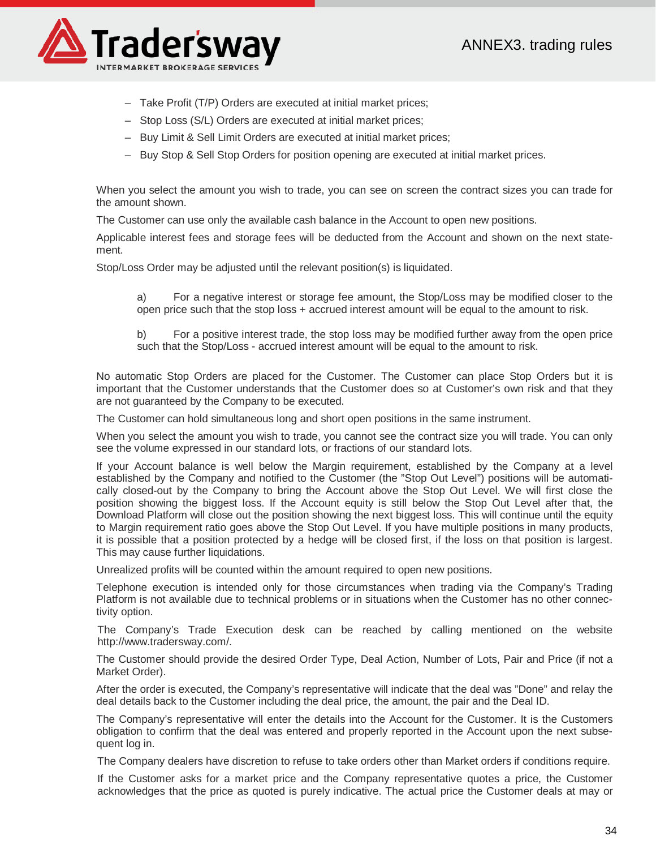

- Take Profit (T/P) Orders are executed at initial market prices;
- Stop Loss (S/L) Orders are executed at initial market prices;
- Buy Limit & Sell Limit Orders are executed at initial market prices;
- Buy Stop & Sell Stop Orders for position opening are executed at initial market prices.

When you select the amount you wish to trade, you can see on screen the contract sizes you can trade for the amount shown.

The Customer can use only the available cash balance in the Account to open new positions.

Applicable interest fees and storage fees will be deducted from the Account and shown on the next statement.

Stop/Loss Order may be adjusted until the relevant position(s) is liquidated.

a) For a negative interest or storage fee amount, the Stop/Loss may be modified closer to the open price such that the stop loss + accrued interest amount will be equal to the amount to risk.

b) For a positive interest trade, the stop loss may be modified further away from the open price such that the Stop/Loss - accrued interest amount will be equal to the amount to risk.

No automatic Stop Orders are placed for the Customer. The Customer can place Stop Orders but it is important that the Customer understands that the Customer does so at Customer's own risk and that they are not guaranteed by the Company to be executed.

The Customer can hold simultaneous long and short open positions in the same instrument.

When you select the amount you wish to trade, you cannot see the contract size you will trade. You can only see the volume expressed in our standard lots, or fractions of our standard lots.

If your Account balance is well below the Margin requirement, established by the Company at a level established by the Company and notified to the Customer (the "Stop Out Level") positions will be automatically closed-out by the Company to bring the Account above the Stop Out Level. We will first close the position showing the biggest loss. If the Account equity is still below the Stop Out Level after that, the Download Platform will close out the position showing the next biggest loss. This will continue until the equity to Margin requirement ratio goes above the Stop Out Level. If you have multiple positions in many products, it is possible that a position protected by a hedge will be closed first, if the loss on that position is largest. This may cause further liquidations.

Unrealized profits will be counted within the amount required to open new positions.

Telephone execution is intended only for those circumstances when trading via the Company's Trading Platform is not available due to technical problems or in situations when the Customer has no other connectivity option.

The Company's Trade Execution desk can be reached by calling mentioned on the website http://www.tradersway.com/.

The Customer should provide the desired Order Type, Deal Action, Number of Lots, Pair and Price (if not a Market Order).

After the order is executed, the Company's representative will indicate that the deal was "Done" and relay the deal details back to the Customer including the deal price, the amount, the pair and the Deal ID.

The Company's representative will enter the details into the Account for the Customer. It is the Customers obligation to confirm that the deal was entered and properly reported in the Account upon the next subsequent log in.

The Company dealers have discretion to refuse to take orders other than Market orders if conditions require.

If the Customer asks for a market price and the Company representative quotes a price, the Customer acknowledges that the price as quoted is purely indicative. The actual price the Customer deals at may or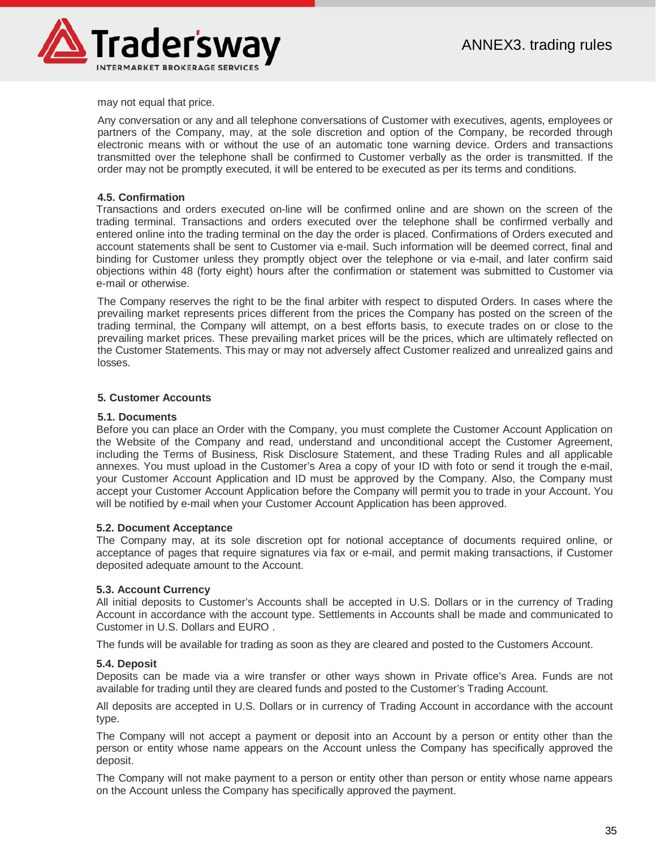

may not equal that price.

Any conversation or any and all telephone conversations of Customer with executives, agents, employees or partners of the Company, may, at the sole discretion and option of the Company, be recorded through electronic means with or without the use of an automatic tone warning device. Orders and transactions transmitted over the telephone shall be confirmed to Customer verbally as the order is transmitted. If the order may not be promptly executed, it will be entered to be executed as per its terms and conditions.

# **4.5. Confirmation**

Transactions and orders executed on-line will be confirmed online and are shown on the screen of the trading terminal. Transactions and orders executed over the telephone shall be confirmed verbally and entered online into the trading terminal on the day the order is placed. Confirmations of Orders executed and account statements shall be sent to Customer via e-mail. Such information will be deemed correct, final and binding for Customer unless they promptly object over the telephone or via e-mail, and later confirm said objections within 48 (forty eight) hours after the confirmation or statement was submitted to Customer via e-mail or otherwise.

The Company reserves the right to be the final arbiter with respect to disputed Orders. In cases where the prevailing market represents prices different from the prices the Company has posted on the screen of the trading terminal, the Company will attempt, on a best efforts basis, to execute trades on or close to the prevailing market prices. These prevailing market prices will be the prices, which are ultimately reflected on the Customer Statements. This may or may not adversely affect Customer realized and unrealized gains and losses.

# **5. Customer Accounts**

#### **5.1. Documents**

Before you can place an Order with the Company, you must complete the Customer Account Application on the Website of the Company and read, understand and unconditional accept the Customer Agreement, including the Terms of Business, Risk Disclosure Statement, and these Trading Rules and all applicable annexes. You must upload in the Customer's Area a copy of your ID with foto or send it trough the e-mail, your Customer Account Application and ID must be approved by the Company. Also, the Company must accept your Customer Account Application before the Company will permit you to trade in your Account. You will be notified by e-mail when your Customer Account Application has been approved.

#### **5.2. Document Acceptance**

The Company may, at its sole discretion opt for notional acceptance of documents required online, or acceptance of pages that require signatures via fax or e-mail, and permit making transactions, if Customer deposited adequate amount to the Account.

#### **5.3. Account Currency**

All initial deposits to Customer's Accounts shall be accepted in U.S. Dollars or in the currency of Trading Account in accordance with the account type. Settlements in Accounts shall be made and communicated to Customer in U.S. Dollars and EURO .

The funds will be available for trading as soon as they are cleared and posted to the Customers Account.

#### **5.4. Deposit**

Deposits can be made via a wire transfer or other ways shown in Private office's Area. Funds are not available for trading until they are cleared funds and posted to the Customer's Trading Account.

All deposits are accepted in U.S. Dollars or in currency of Trading Account in accordance with the account type.

The Company will not accept a payment or deposit into an Account by a person or entity other than the person or entity whose name appears on the Account unless the Company has specifically approved the deposit.

The Company will not make payment to a person or entity other than person or entity whose name appears on the Account unless the Company has specifically approved the payment.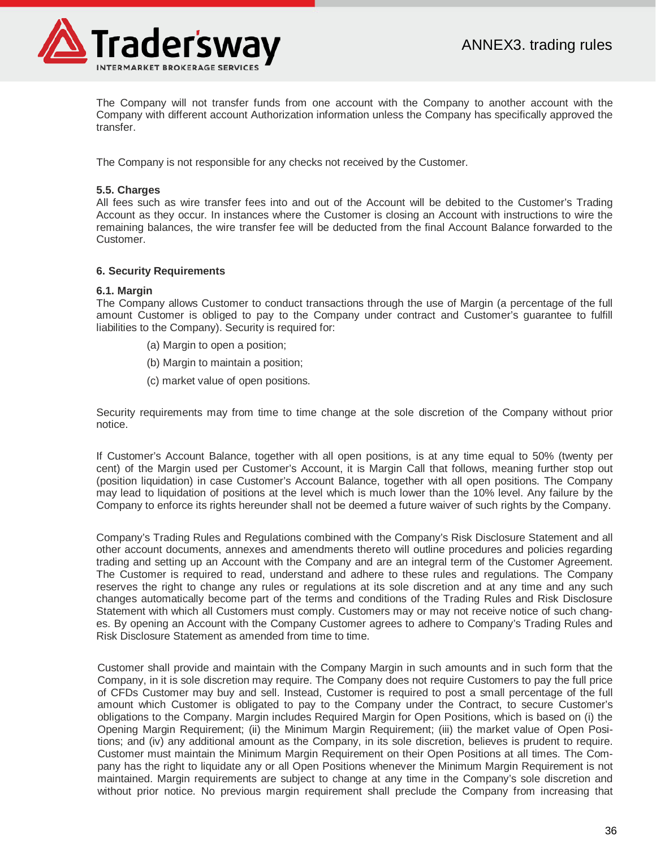

The Company will not transfer funds from one account with the Company to another account with the Company with different account Authorization information unless the Company has specifically approved the transfer.

The Company is not responsible for any checks not received by the Customer.

# **5.5. Charges**

All fees such as wire transfer fees into and out of the Account will be debited to the Customer's Trading Account as they occur. In instances where the Customer is closing an Account with instructions to wire the remaining balances, the wire transfer fee will be deducted from the final Account Balance forwarded to the Customer.

# **6. Security Requirements**

#### **6.1. Margin**

The Company allows Customer to conduct transactions through the use of Margin (a percentage of the full amount Customer is obliged to pay to the Company under contract and Customer's guarantee to fulfill liabilities to the Company). Security is required for:

- (a) Margin to open a position;
- (b) Margin to maintain a position;
- (c) market value of open positions.

Security requirements may from time to time change at the sole discretion of the Company without prior notice.

If Customer's Account Balance, together with all open positions, is at any time equal to 50% (twenty per cent) of the Margin used per Customer's Account, it is Margin Call that follows, meaning further stop out (position liquidation) in case Customer's Account Balance, together with all open positions. The Company may lead to liquidation of positions at the level which is much lower than the 10% level. Any failure by the Company to enforce its rights hereunder shall not be deemed a future waiver of such rights by the Company.

Company's Trading Rules and Regulations combined with the Company's Risk Disclosure Statement and all other account documents, annexes and amendments thereto will outline procedures and policies regarding trading and setting up an Account with the Company and are an integral term of the Customer Agreement. The Customer is required to read, understand and adhere to these rules and regulations. The Company reserves the right to change any rules or regulations at its sole discretion and at any time and any such changes automatically become part of the terms and conditions of the Trading Rules and Risk Disclosure Statement with which all Customers must comply. Customers may or may not receive notice of such changes. By opening an Account with the Company Customer agrees to adhere to Company's Trading Rules and Risk Disclosure Statement as amended from time to time.

Customer shall provide and maintain with the Company Margin in such amounts and in such form that the Company, in it is sole discretion may require. The Company does not require Customers to pay the full price of CFDs Customer may buy and sell. Instead, Customer is required to post a small percentage of the full amount which Customer is obligated to pay to the Company under the Contract, to secure Customer's obligations to the Company. Margin includes Required Margin for Open Positions, which is based on (i) the Opening Margin Requirement; (ii) the Minimum Margin Requirement; (iii) the market value of Open Positions; and (iv) any additional amount as the Company, in its sole discretion, believes is prudent to require. Customer must maintain the Minimum Margin Requirement on their Open Positions at all times. The Company has the right to liquidate any or all Open Positions whenever the Minimum Margin Requirement is not maintained. Margin requirements are subject to change at any time in the Company's sole discretion and without prior notice. No previous margin requirement shall preclude the Company from increasing that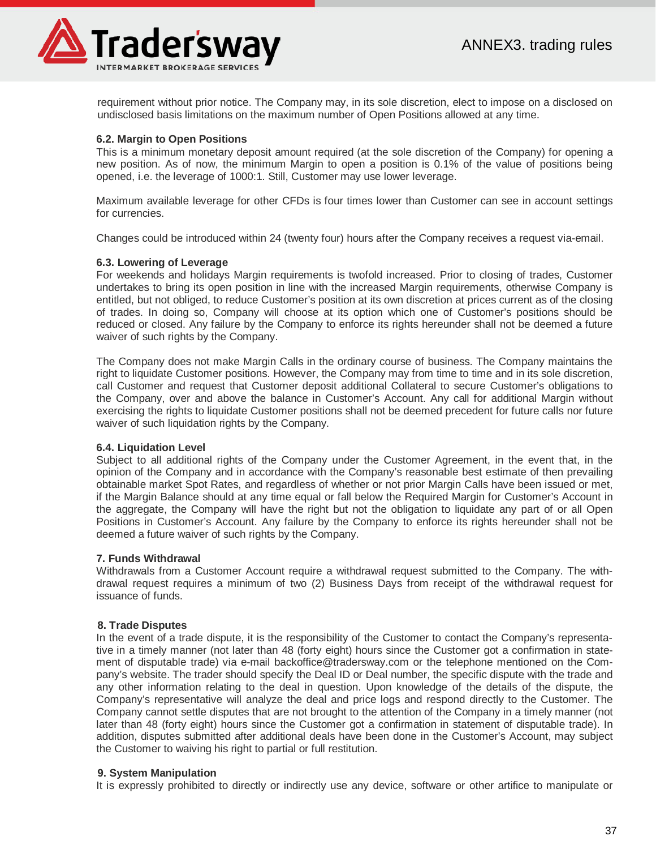

requirement without prior notice. The Company may, in its sole discretion, elect to impose on a disclosed on undisclosed basis limitations on the maximum number of Open Positions allowed at any time.

#### **6.2. Margin to Open Positions**

This is a minimum monetary deposit amount required (at the sole discretion of the Company) for opening a new position. As of now, the minimum Margin to open a position is 0.1% of the value of positions being opened, i.e. the leverage of 1000:1. Still, Customer may use lower leverage.

Maximum available leverage for other CFDs is four times lower than Customer can see in account settings for currencies.

Changes could be introduced within 24 (twenty four) hours after the Company receives a request via-email.

#### **6.3. Lowering of Leverage**

For weekends and holidays Margin requirements is twofold increased. Prior to closing of trades, Customer undertakes to bring its open position in line with the increased Margin requirements, otherwise Company is entitled, but not obliged, to reduce Customer's position at its own discretion at prices current as of the closing of trades. In doing so, Company will choose at its option which one of Customer's positions should be reduced or closed. Any failure by the Company to enforce its rights hereunder shall not be deemed a future waiver of such rights by the Company.

The Company does not make Margin Calls in the ordinary course of business. The Company maintains the right to liquidate Customer positions. However, the Company may from time to time and in its sole discretion, call Customer and request that Customer deposit additional Collateral to secure Customer's obligations to the Company, over and above the balance in Customer's Account. Any call for additional Margin without exercising the rights to liquidate Customer positions shall not be deemed precedent for future calls nor future waiver of such liquidation rights by the Company.

#### **6.4. Liquidation Level**

Subject to all additional rights of the Company under the Customer Agreement, in the event that, in the opinion of the Company and in accordance with the Company's reasonable best estimate of then prevailing obtainable market Spot Rates, and regardless of whether or not prior Margin Calls have been issued or met, if the Margin Balance should at any time equal or fall below the Required Margin for Customer's Account in the aggregate, the Company will have the right but not the obligation to liquidate any part of or all Open Positions in Customer's Account. Any failure by the Company to enforce its rights hereunder shall not be deemed a future waiver of such rights by the Company.

#### **7. Funds Withdrawal**

Withdrawals from a Customer Account require a withdrawal request submitted to the Company. The withdrawal request requires a minimum of two (2) Business Days from receipt of the withdrawal request for issuance of funds.

#### **8. Trade Disputes**

In the event of a trade dispute, it is the responsibility of the Customer to contact the Company's representative in a timely manner (not later than 48 (forty eight) hours since the Customer got a confirmation in statement of disputable trade) via e-mail backoffice@tradersway.com or the telephone mentioned on the Company's website. The trader should specify the Deal ID or Deal number, the specific dispute with the trade and any other information relating to the deal in question. Upon knowledge of the details of the dispute, the Company's representative will analyze the deal and price logs and respond directly to the Customer. The Company cannot settle disputes that are not brought to the attention of the Company in a timely manner (not later than 48 (forty eight) hours since the Customer got a confirmation in statement of disputable trade). In addition, disputes submitted after additional deals have been done in the Customer's Account, may subject the Customer to waiving his right to partial or full restitution.

#### **9. System Manipulation**

It is expressly prohibited to directly or indirectly use any device, software or other artifice to manipulate or